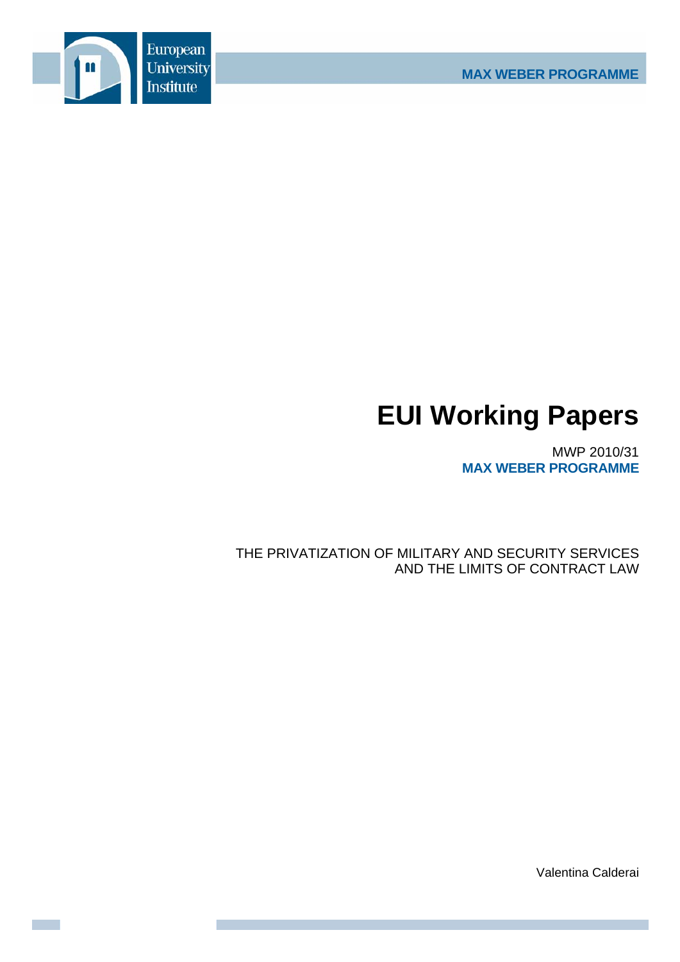

# **EUI Working Papers**

MWP 2010/31 **MAX WEBER PROGRAMME**

THE PRIVATIZATION OF MILITARY AND SECURITY SERVICES AND THE LIMITS OF CONTRACT LAW

Valentina Calderai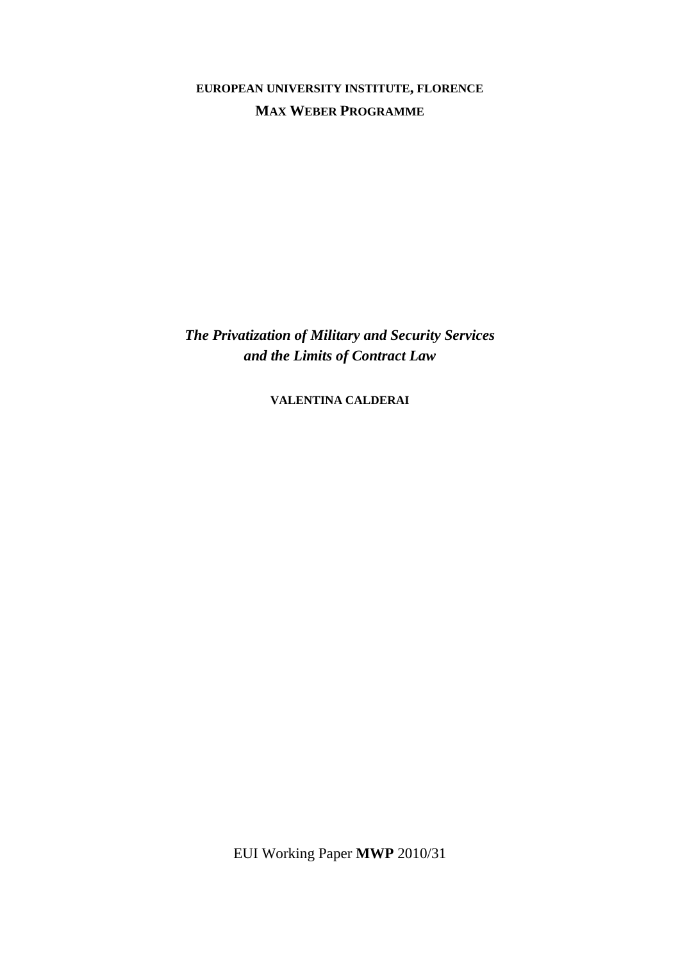**EUROPEAN UNIVERSITY INSTITUTE, FLORENCE MAX WEBER PROGRAMME**

*The Privatization of Military and Security Services and the Limits of Contract Law* 

**VALENTINA CALDERAI**

EUI Working Paper **MWP** 2010/31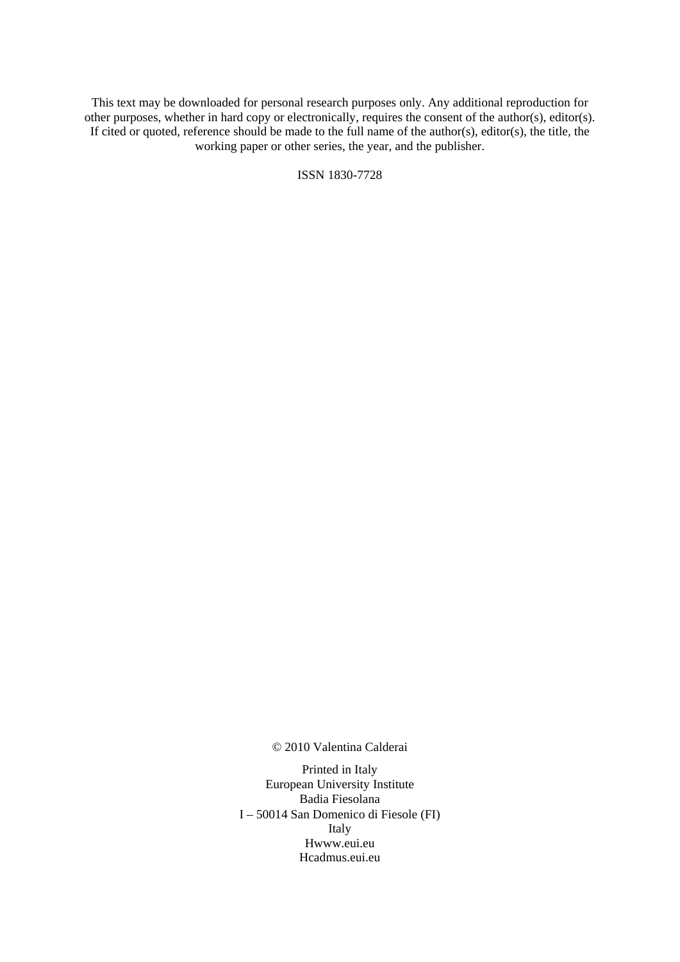This text may be downloaded for personal research purposes only. Any additional reproduction for other purposes, whether in hard copy or electronically, requires the consent of the author(s), editor(s). If cited or quoted, reference should be made to the full name of the author(s), editor(s), the title, the working paper or other series, the year, and the publisher.

ISSN 1830-7728

© 2010 Valentina Calderai

Printed in Italy European University Institute Badia Fiesolana I – 50014 San Domenico di Fiesole (FI) Italy Hwww.eui.eu H cadmus.eui.eu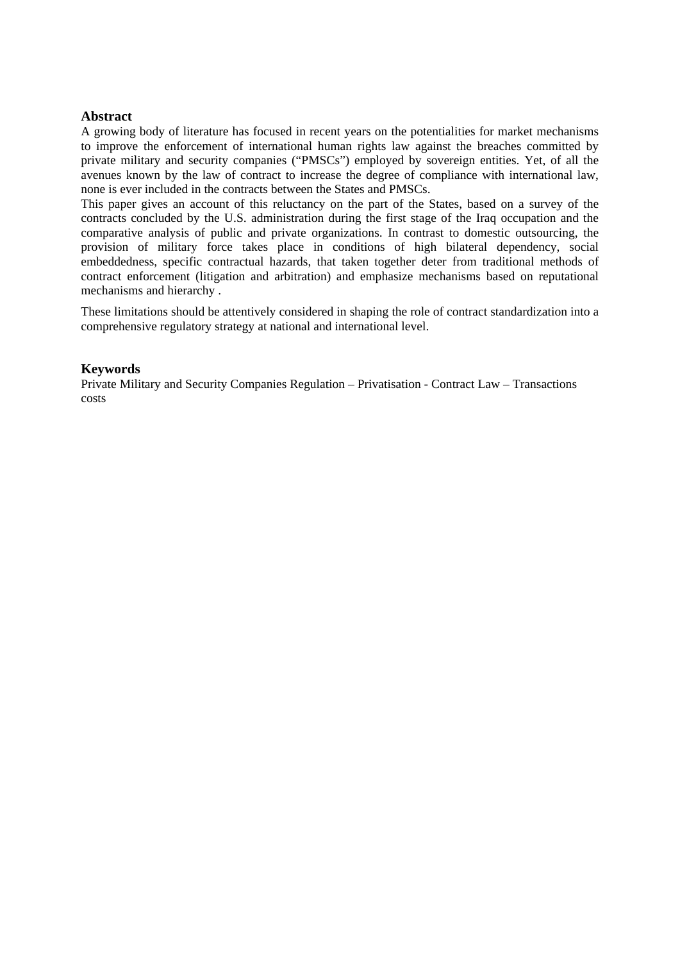## **Abstract**

A growing body of literature has focused in recent years on the potentialities for market mechanisms to improve the enforcement of international human rights law against the breaches committed by private military and security companies ("PMSCs") employed by sovereign entities. Yet, of all the avenues known by the law of contract to increase the degree of compliance with international law, none is ever included in the contracts between the States and PMSCs.

This paper gives an account of this reluctancy on the part of the States, based on a survey of the contracts concluded by the U.S. administration during the first stage of the Iraq occupation and the comparative analysis of public and private organizations. In contrast to domestic outsourcing, the provision of military force takes place in conditions of high bilateral dependency, social embeddedness, specific contractual hazards, that taken together deter from traditional methods of contract enforcement (litigation and arbitration) and emphasize mechanisms based on reputational mechanisms and hierarchy .

These limitations should be attentively considered in shaping the role of contract standardization into a comprehensive regulatory strategy at national and international level.

# **Keywords**

Private Military and Security Companies Regulation – Privatisation - Contract Law – Transactions costs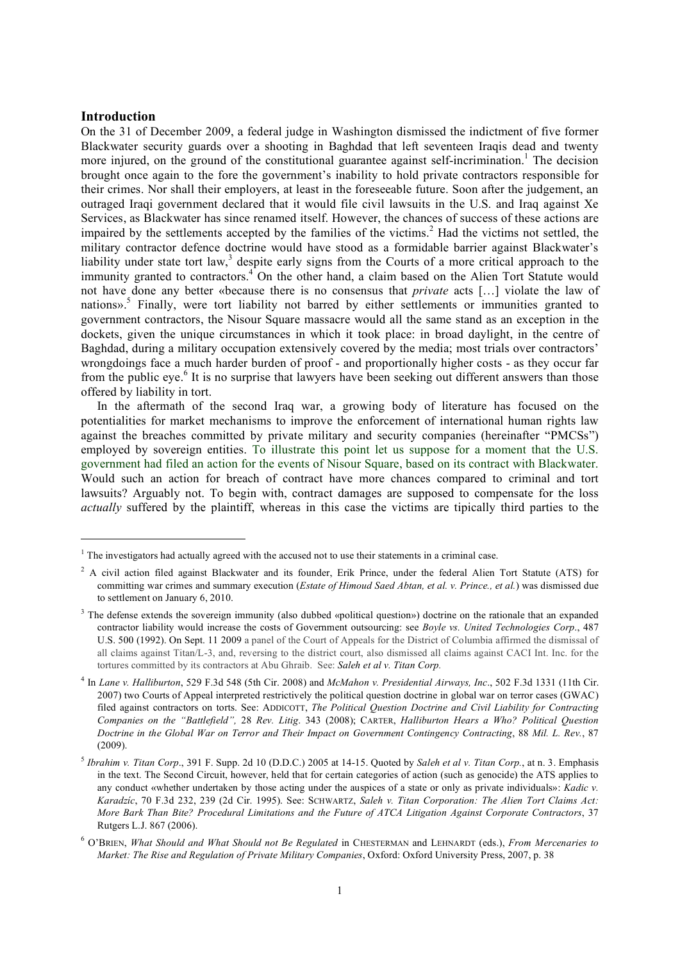## **Introduction**

1

On the 31 of December 2009, a federal judge in Washington dismissed the indictment of five former Blackwater security guards over a shooting in Baghdad that left seventeen Iraqis dead and twenty more injured, on the ground of the constitutional guarantee against self-incrimination.<sup>1</sup> The decision brought once again to the fore the government's inability to hold private contractors responsible for their crimes. Nor shall their employers, at least in the foreseeable future. Soon after the judgement, an outraged Iraqi government declared that it would file civil lawsuits in the U.S. and Iraq against Xe Services, as Blackwater has since renamed itself. However, the chances of success of these actions are impaired by the settlements accepted by the families of the victims. <sup>2</sup> Had the victims not settled, the military contractor defence doctrine would have stood as a formidable barrier against Blackwater's liability under state tort law,<sup>3</sup> despite early signs from the Courts of a more critical approach to the immunity granted to contractors.<sup>4</sup> On the other hand, a claim based on the Alien Tort Statute would not have done any better «because there is no consensus that *private* acts […] violate the law of nations». <sup>5</sup> Finally, were tort liability not barred by either settlements or immunities granted to government contractors, the Nisour Square massacre would all the same stand as an exception in the dockets, given the unique circumstances in which it took place: in broad daylight, in the centre of Baghdad, during a military occupation extensively covered by the media; most trials over contractors' wrongdoings face a much harder burden of proof - and proportionally higher costs - as they occur far from the public eye.<sup>6</sup> It is no surprise that lawyers have been seeking out different answers than those offered by liability in tort.

In the aftermath of the second Iraq war, a growing body of literature has focused on the potentialities for market mechanisms to improve the enforcement of international human rights law against the breaches committed by private military and security companies (hereinafter "PMCSs") employed by sovereign entities. To illustrate this point let us suppose for a moment that the U.S. government had filed an action for the events of Nisour Square, based on its contract with Blackwater. Would such an action for breach of contract have more chances compared to criminal and tort lawsuits? Arguably not. To begin with, contract damages are supposed to compensate for the loss *actually* suffered by the plaintiff, whereas in this case the victims are tipically third parties to the

 $1$  The investigators had actually agreed with the accused not to use their statements in a criminal case.

<sup>&</sup>lt;sup>2</sup> A civil action filed against Blackwater and its founder, Erik Prince, under the federal Alien Tort Statute (ATS) for committing war crimes and summary execution (*Estate of Himoud Saed Abtan, et al. v. Prince., et al.*) was dismissed due to settlement on January 6, 2010.

<sup>&</sup>lt;sup>3</sup> The defense extends the sovereign immunity (also dubbed «political question») doctrine on the rationale that an expanded contractor liability would increase the costs of Government outsourcing: see *Boyle vs. United Technologies Corp*., 487 U.S. 500 (1992). On Sept. 11 2009 a panel of the Court of Appeals for the District of Columbia affirmed the dismissal of all claims against Titan/L-3, and, reversing to the district court, also dismissed all claims against CACI Int. Inc. for the tortures committed by its contractors at Abu Ghraib. See: *Saleh et al v. Titan Corp.*

<sup>4</sup> In *Lane v. Halliburton*, 529 F.3d 548 (5th Cir. 2008) and *McMahon v. Presidential Airways, Inc*., 502 F.3d 1331 (11th Cir. 2007) two Courts of Appeal interpreted restrictively the political question doctrine in global war on terror cases (GWAC) filed against contractors on torts. See: ADDICOTT, *The Political Question Doctrine and Civil Liability for Contracting Companies on the "Battlefield",* 28 *Rev. Litig*. 343 (2008); CARTER, *Halliburton Hears a Who? Political Question* Doctrine in the Global War on Terror and Their Impact on Government Contingency Contracting, 88 Mil. L. Rev., 87 (2009).

<sup>5</sup> *Ibrahim v. Titan Corp*., 391 F. Supp. 2d 10 (D.D.C.) 2005 at 14-15. Quoted by *Saleh et al v. Titan Corp.*, at n. 3. Emphasis in the text. The Second Circuit, however, held that for certain categories of action (such as genocide) the ATS applies to any conduct «whether undertaken by those acting under the auspices of a state or only as private individuals»: *Kadic v. Karadzíc*, 70 F.3d 232, 239 (2d Cir. 1995). See: SCHWARTZ, *Saleh v. Titan Corporation: The Alien Tort Claims Act: More Bark Than Bite? Procedural Limitations and the Future of ATCA Litigation Against Corporate Contractors*, 37 Rutgers L.J. 867 (2006).

<sup>6</sup> O'BRIEN, *What Should and What Should not Be Regulated* in CHESTERMAN and LEHNARDT (eds.), *From Mercenaries to Market: The Rise and Regulation of Private Military Companies*, Oxford: Oxford University Press, 2007, p. 38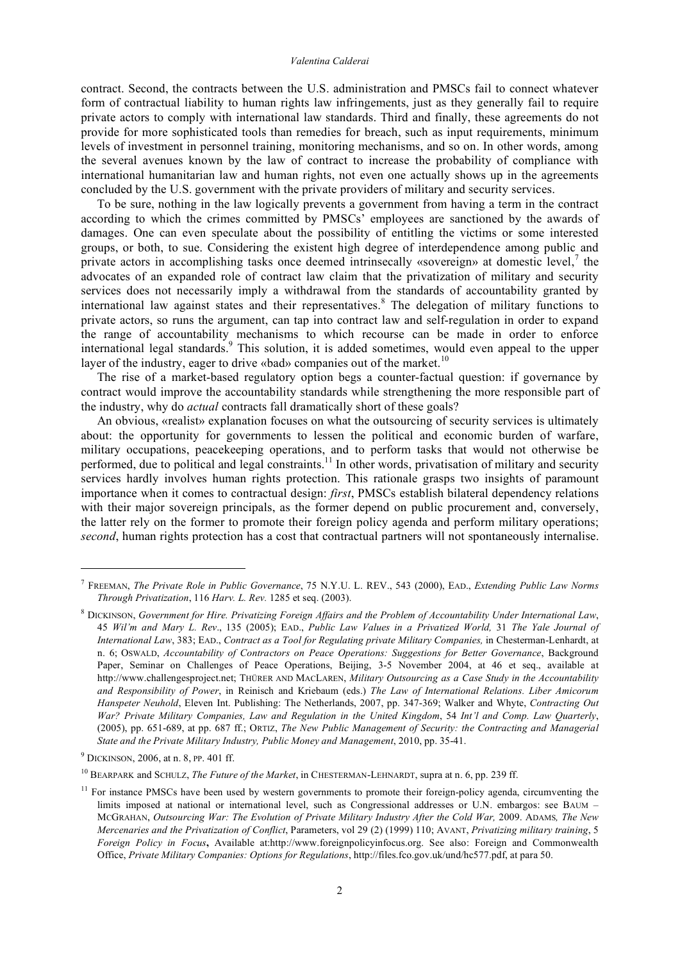#### *Valentina Calderai*

contract. Second, the contracts between the U.S. administration and PMSCs fail to connect whatever form of contractual liability to human rights law infringements, just as they generally fail to require private actors to comply with international law standards. Third and finally, these agreements do not provide for more sophisticated tools than remedies for breach, such as input requirements, minimum levels of investment in personnel training, monitoring mechanisms, and so on. In other words, among the several avenues known by the law of contract to increase the probability of compliance with international humanitarian law and human rights, not even one actually shows up in the agreements concluded by the U.S. government with the private providers of military and security services.

To be sure, nothing in the law logically prevents a government from having a term in the contract according to which the crimes committed by PMSCs' employees are sanctioned by the awards of damages. One can even speculate about the possibility of entitling the victims or some interested groups, or both, to sue. Considering the existent high degree of interdependence among public and private actors in accomplishing tasks once deemed intrinsecally «sovereign» at domestic level, <sup>7</sup> the advocates of an expanded role of contract law claim that the privatization of military and security services does not necessarily imply a withdrawal from the standards of accountability granted by international law against states and their representatives. <sup>8</sup> The delegation of military functions to private actors, so runs the argument, can tap into contract law and self-regulation in order to expand the range of accountability mechanisms to which recourse can be made in order to enforce international legal standards.<sup>9</sup> This solution, it is added sometimes, would even appeal to the upper layer of the industry, eager to drive «bad» companies out of the market.<sup>10</sup>

The rise of a market-based regulatory option begs a counter-factual question: if governance by contract would improve the accountability standards while strengthening the more responsible part of the industry, why do *actual* contracts fall dramatically short of these goals?

An obvious, «realist» explanation focuses on what the outsourcing of security services is ultimately about: the opportunity for governments to lessen the political and economic burden of warfare, military occupations, peacekeeping operations, and to perform tasks that would not otherwise be performed, due to political and legal constraints.<sup>11</sup> In other words, privatisation of military and security services hardly involves human rights protection. This rationale grasps two insights of paramount importance when it comes to contractual design: *first*, PMSCs establish bilateral dependency relations with their major sovereign principals, as the former depend on public procurement and, conversely, the latter rely on the former to promote their foreign policy agenda and perform military operations; *second*, human rights protection has a cost that contractual partners will not spontaneously internalise.

<sup>7</sup> FREEMAN, *The Private Role in Public Governance*, 75 N.Y.U. L. REV., 543 (2000), EAD., *Extending Public Law Norms Through Privatization*, 116 *Harv. L. Rev.* 1285 et seq. (2003).

<sup>8</sup> DICKINSON, *Government for Hire. Privatizing Foreign Affairs and the Problem of Accountability Under International Law*, 45 *Wil'm and Mary L. Rev*., 135 (2005); EAD., *Public Law Values in a Privatized World,* 31 *The Yale Journal of International Law*, 383; EAD., *Contract as a Tool for Regulating private Military Companies,* in Chesterman-Lenhardt, at n. 6; OSWALD, *Accountability of Contractors on Peace Operations: Suggestions for Better Governance*, Background Paper, Seminar on Challenges of Peace Operations, Beijing, 3-5 November 2004, at 46 et seq., available at http://www.challengesproject.net; THÜRER AND MACLAREN, *Military Outsourcing as a Case Study in the Accountability and Responsibility of Power*, in Reinisch and Kriebaum (eds.) *The Law of International Relations. Liber Amicorum Hanspeter Neuhold*, Eleven Int. Publishing: The Netherlands, 2007, pp. 347-369; Walker and Whyte, *Contracting Out War? Private Military Companies, Law and Regulation in the United Kingdom*, 54 *Int'l and Comp. Law Quarterly*, (2005), pp. 651-689, at pp. 687 ff.; ORTIZ, *The New Public Management of Security: the Contracting and Managerial State and the Private Military Industry, Public Money and Management*, 2010, pp. 35-41.

<sup>9</sup> DICKINSON, 2006, at n. 8, PP. 401 ff.

<sup>10</sup> BEARPARK and SCHULZ, *The Future of the Market*, in CHESTERMAN-LEHNARDT, supra at n. 6, pp. 239 ff.

 $11$  For instance PMSCs have been used by western governments to promote their foreign-policy agenda, circumventing the limits imposed at national or international level, such as Congressional addresses or U.N. embargos: see BAUM – MCGRAHAN, *Outsourcing War: The Evolution of Private Military Industry After the Cold War,* 2009. ADAMS*, The New Mercenaries and the Privatization of Conflict*, Parameters, vol 29 (2) (1999) 110; AVANT, *Privatizing military training*, 5 *Foreign Policy in Focus***,** Available at:http://www.foreignpolicyinfocus.org. See also: Foreign and Commonwealth Office, *Private Military Companies: Options for Regulations*, http://files.fco.gov.uk/und/hc577.pdf, at para 50.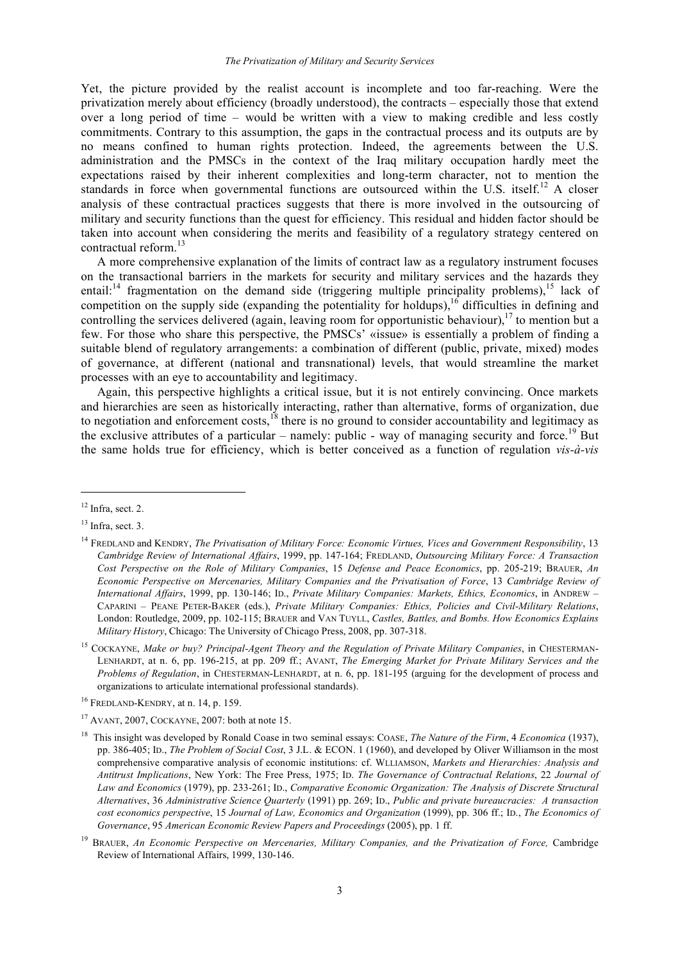Yet, the picture provided by the realist account is incomplete and too far-reaching. Were the privatization merely about efficiency (broadly understood), the contracts – especially those that extend over a long period of time – would be written with a view to making credible and less costly commitments. Contrary to this assumption, the gaps in the contractual process and its outputs are by no means confined to human rights protection. Indeed, the agreements between the U.S. administration and the PMSCs in the context of the Iraq military occupation hardly meet the expectations raised by their inherent complexities and long-term character, not to mention the standards in force when governmental functions are outsourced within the U.S. itself.<sup>12</sup> A closer analysis of these contractual practices suggests that there is more involved in the outsourcing of military and security functions than the quest for efficiency. This residual and hidden factor should be taken into account when considering the merits and feasibility of a regulatory strategy centered on contractual reform. 13

A more comprehensive explanation of the limits of contract law as a regulatory instrument focuses on the transactional barriers in the markets for security and military services and the hazards they entail:<sup>14</sup> fragmentation on the demand side (triggering multiple principality problems),<sup>15</sup> lack of competition on the supply side (expanding the potentiality for holdups),<sup>16</sup> difficulties in defining and controlling the services delivered (again, leaving room for opportunistic behaviour),  $17$  to mention but a few. For those who share this perspective, the PMSCs' «issue» is essentially a problem of finding a suitable blend of regulatory arrangements: a combination of different (public, private, mixed) modes of governance, at different (national and transnational) levels, that would streamline the market processes with an eye to accountability and legitimacy.

Again, this perspective highlights a critical issue, but it is not entirely convincing. Once markets and hierarchies are seen as historically interacting, rather than alternative, forms of organization, due to negotiation and enforcement costs,  $^{18}$  there is no ground to consider accountability and legitimacy as the exclusive attributes of a particular – namely: public - way of managing security and force.<sup>19</sup> But the same holds true for efficiency, which is better conceived as a function of regulation *vis-à-vis*

1

 $16$  FREDLAND-KENDRY, at n. 14, p. 159.

 $12$  Infra, sect. 2.

 $13$  Infra, sect. 3.

<sup>14</sup> FREDLAND and KENDRY, *The Privatisation of Military Force: Economic Virtues, Vices and Government Responsibility*, 13 *Cambridge Review of International Affairs*, 1999, pp. 147-164; FREDLAND, *Outsourcing Military Force: A Transaction Cost Perspective on the Role of Military Companies*, 15 *Defense and Peace Economics*, pp. 205-219; BRAUER, *An Economic Perspective on Mercenaries, Military Companies and the Privatisation of Force*, 13 *Cambridge Review of International Affairs*, 1999, pp. 130-146; ID., *Private Military Companies: Markets, Ethics, Economics*, in ANDREW – CAPARINI – PEANE PETER-BAKER (eds.), *Private Military Companies: Ethics, Policies and Civil-Military Relations*, London: Routledge, 2009, pp. 102-115; BRAUER and VAN TUYLL, *Castles, Battles, and Bombs. How Economics Explains Military History*, Chicago: The University of Chicago Press, 2008, pp. 307-318.

<sup>15</sup> COCKAYNE, *Make or buy? Principal-Agent Theory and the Regulation of Private Military Companies*, in CHESTERMAN-LENHARDT, at n. 6, pp. 196-215, at pp. 209 ff.; AVANT, *The Emerging Market for Private Military Services and the Problems of Regulation*, in CHESTERMAN-LENHARDT, at n. 6, pp. 181-195 (arguing for the development of process and organizations to articulate international professional standards).

<sup>17</sup> AVANT, 2007, COCKAYNE, 2007: both at note 15.

<sup>18</sup> This insight was developed by Ronald Coase in two seminal essays: COASE, *The Nature of the Firm*, 4 *Economica* (1937), pp. 386-405; ID., *The Problem of Social Cost*, 3 J.L. & ECON. 1 (1960), and developed by Oliver Williamson in the most comprehensive comparative analysis of economic institutions: cf. WLLIAMSON, *Markets and Hierarchies: Analysis and Antitrust Implications*, New York: The Free Press, 1975; ID. *The Governance of Contractual Relations*, 22 *Journal of Law and Economics* (1979), pp. 233-261; ID., *Comparative Economic Organization: The Analysis of Discrete Structural Alternatives*, 36 *Administrative Science Quarterly* (1991) pp. 269; ID., *Public and private bureaucracies: A transaction cost economics perspective*, 15 *Journal of Law, Economics and Organization* (1999), pp. 306 ff.; ID., *The Economics of Governance*, 95 *American Economic Review Papers and Proceedings* (2005), pp. 1 ff.

<sup>19</sup> BRAUER, *An Economic Perspective on Mercenaries, Military Companies, and the Privatization of Force,* Cambridge Review of International Affairs, 1999, 130-146.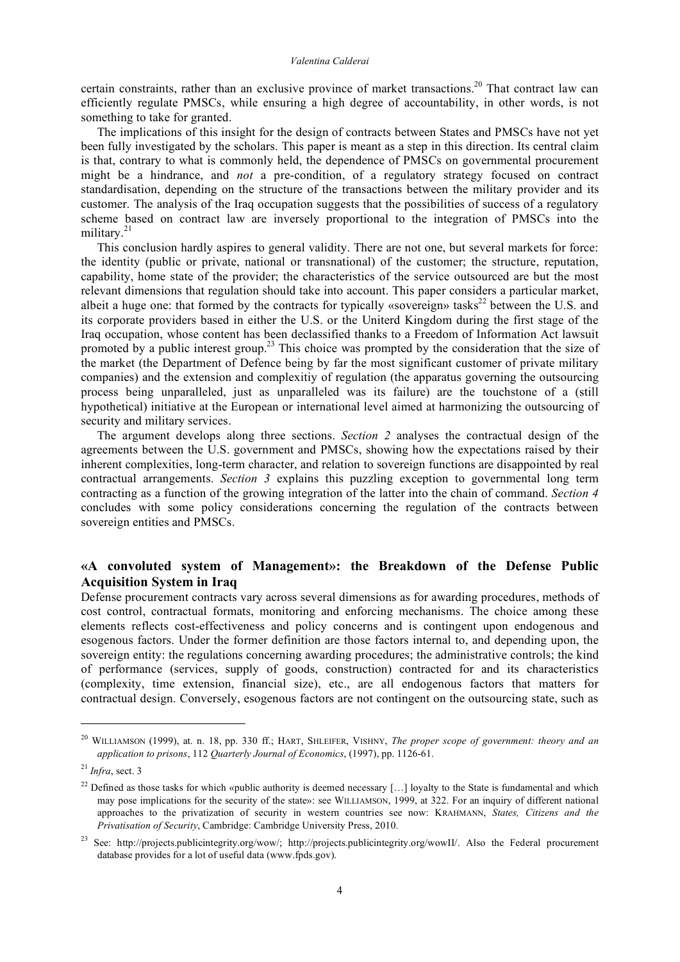certain constraints, rather than an exclusive province of market transactions.<sup>20</sup> That contract law can efficiently regulate PMSCs, while ensuring a high degree of accountability, in other words, is not something to take for granted.

The implications of this insight for the design of contracts between States and PMSCs have not yet been fully investigated by the scholars. This paper is meant as a step in this direction. Its central claim is that, contrary to what is commonly held, the dependence of PMSCs on governmental procurement might be a hindrance, and *not* a pre-condition, of a regulatory strategy focused on contract standardisation, depending on the structure of the transactions between the military provider and its customer. The analysis of the Iraq occupation suggests that the possibilities of success of a regulatory scheme based on contract law are inversely proportional to the integration of PMSCs into the military. 21

This conclusion hardly aspires to general validity. There are not one, but several markets for force: the identity (public or private, national or transnational) of the customer; the structure, reputation, capability, home state of the provider; the characteristics of the service outsourced are but the most relevant dimensions that regulation should take into account. This paper considers a particular market, albeit a huge one: that formed by the contracts for typically «sovereign» tasks<sup>22</sup> between the U.S. and its corporate providers based in either the U.S. or the Uniterd Kingdom during the first stage of the Iraq occupation, whose content has been declassified thanks to a Freedom of Information Act lawsuit promoted by a public interest group.<sup>23</sup> This choice was prompted by the consideration that the size of the market (the Department of Defence being by far the most significant customer of private military companies) and the extension and complexitiy of regulation (the apparatus governing the outsourcing process being unparalleled, just as unparalleled was its failure) are the touchstone of a (still hypothetical) initiative at the European or international level aimed at harmonizing the outsourcing of security and military services.

The argument develops along three sections. *Section 2* analyses the contractual design of the agreements between the U.S. government and PMSCs, showing how the expectations raised by their inherent complexities, long-term character, and relation to sovereign functions are disappointed by real contractual arrangements. *Section 3* explains this puzzling exception to governmental long term contracting as a function of the growing integration of the latter into the chain of command. *Section 4* concludes with some policy considerations concerning the regulation of the contracts between sovereign entities and PMSCs.

# **«A convoluted system of Management»: the Breakdown of the Defense Public Acquisition System in Iraq**

Defense procurement contracts vary across several dimensions as for awarding procedures, methods of cost control, contractual formats, monitoring and enforcing mechanisms. The choice among these elements reflects cost-effectiveness and policy concerns and is contingent upon endogenous and esogenous factors. Under the former definition are those factors internal to, and depending upon, the sovereign entity: the regulations concerning awarding procedures; the administrative controls; the kind of performance (services, supply of goods, construction) contracted for and its characteristics (complexity, time extension, financial size), etc., are all endogenous factors that matters for contractual design. Conversely, esogenous factors are not contingent on the outsourcing state, such as

<sup>20</sup> WILLIAMSON (1999), at. n. 18, pp. 330 ff.; HART, SHLEIFER, VISHNY, *The proper scope of government: theory and an application to prisons*, 112 *Quarterly Journal of Economics*, (1997), pp. 1126-61.

 $^{21}$ *Infra*, sect. 3

 $22$  Defined as those tasks for which «public authority is deemed necessary [...] loyalty to the State is fundamental and which may pose implications for the security of the state»: see WILLIAMSON, 1999, at 322. For an inquiry of different national approaches to the privatization of security in western countries see now: KRAHMANN, *States, Citizens and the Privatisation of Security*, Cambridge: Cambridge University Press, 2010.

<sup>&</sup>lt;sup>23</sup> See: http://projects.publicintegrity.org/wow/; http://projects.publicintegrity.org/wowII/. Also the Federal procurement database provides for a lot of useful data (www.fpds.gov).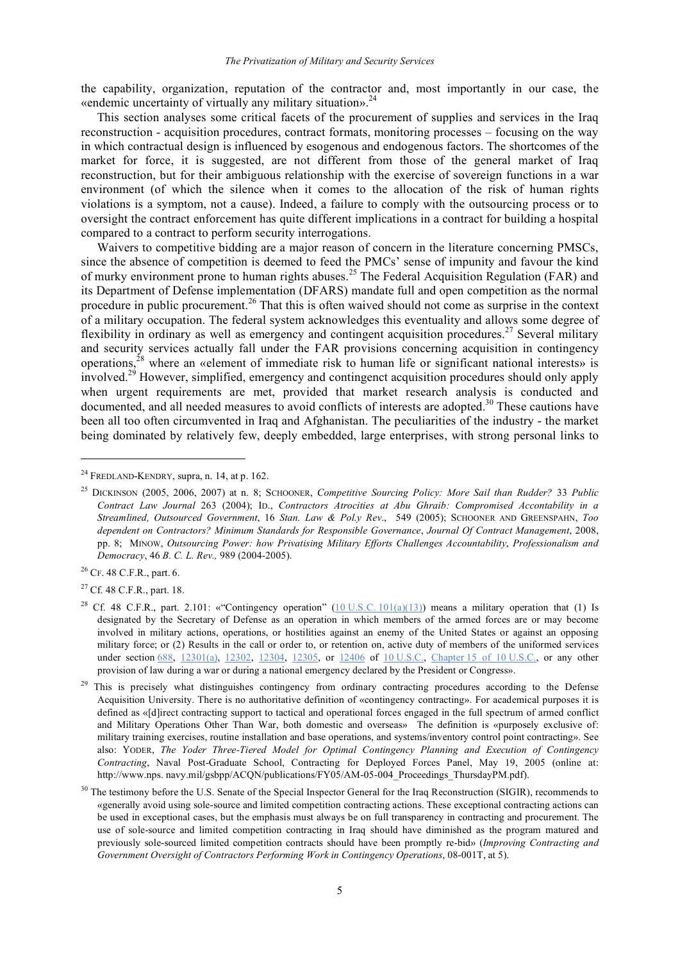the capability, organization, reputation of the contractor and, most importantly in our case, the «endemic uncertainty of virtually any military situation». 24

This section analyses some critical facets of the procurement of supplies and services in the Iraq reconstruction - acquisition procedures, contract formats, monitoring processes – focusing on the way in which contractual design is influenced by esogenous and endogenous factors. The shortcomes of the market for force, it is suggested, are not different from those of the general market of Iraq reconstruction, but for their ambiguous relationship with the exercise of sovereign functions in a war environment (of which the silence when it comes to the allocation of the risk of human rights violations is a symptom, not a cause). Indeed, a failure to comply with the outsourcing process or to oversight the contract enforcement has quite different implications in a contract for building a hospital compared to a contract to perform security interrogations.

Waivers to competitive bidding are a major reason of concern in the literature concerning PMSCs, since the absence of competition is deemed to feed the PMCs' sense of impunity and favour the kind of murky environment prone to human rights abuses.<sup>25</sup> The Federal Acquisition Regulation (FAR) and its Department of Defense implementation (DFARS) mandate full and open competition as the normal procedure in public procurement.<sup>26</sup> That this is often waived should not come as surprise in the context of a military occupation. The federal system acknowledges this eventuality and allows some degree of flexibility in ordinary as well as emergency and contingent acquisition procedures.<sup>27</sup> Several military and security services actually fall under the FAR provisions concerning acquisition in contingency operations,<sup>28</sup> where an «element of immediate risk to human life or significant national interests» is involved.<sup>29</sup> However, simplified, emergency and contingenct acquisition procedures should only apply when urgent requirements are met, provided that market research analysis is conducted and documented, and all needed measures to avoid conflicts of interests are adopted.<sup>30</sup> These cautions have been all too often circumvented in Iraq and Afghanistan. The peculiarities of the industry - the market being dominated by relatively few, deeply embedded, large enterprises, with strong personal links to

 $^{24}$  FREDLAND-KENDRY, supra, n. 14, at p. 162.

<sup>25</sup> DICKINSON (2005, 2006, 2007) at n. 8; SCHOONER, *Competitive Sourcing Policy: More Sail than Rudder?* 33 *Public Contract Law Journal* 263 (2004); ID., *Contractors Atrocities at Abu Ghraib: Compromised Accontability in a Streamlined, Outsourced Government*, 16 *Stan. Law & Pol.y Rev*., 549 (2005); SCHOONER AND GREENSPAHN, *Too dependent on Contractors? Minimum Standards for Responsible Governance*, *Journal Of Contract Management*, 2008, pp. 8; MINOW, *Outsourcing Power: how Privatising Military Efforts Challenges Accountability*, *Professionalism and Democracy*, 46 *B. C. L. Rev.,* 989 (2004-2005).

<sup>26</sup> CF. 48 C.F.R., part. 6.

<sup>&</sup>lt;sup>27</sup> Cf. 48 C.F.R., part. 18.

<sup>&</sup>lt;sup>28</sup> Cf. 48 C.F.R., part. 2.101: «"Contingency operation" (10 U.S.C. 101(a)(13)) means a military operation that (1) Is designated by the Secretary of Defense as an operation in which members of the armed forces are or may become involved in military actions, operations, or hostilities against an enemy of the United States or against an opposing military force; or (2) Results in the call or order to, or retention on, active duty of members of the uniformed services under section 688, 12301(a), 12302, 12304, 12305, or 12406 of 10 U.S.C., Chapter 15 of 10 U.S.C., or any other provision of law during a war or during a national emergency declared by the President or Congress».

<sup>&</sup>lt;sup>29</sup> This is precisely what distinguishes contingency from ordinary contracting procedures according to the Defense Acquisition University. There is no authoritative definition of «contingency contracting». For academical purposes it is defined as «[d]irect contracting support to tactical and operational forces engaged in the full spectrum of armed conflict and Military Operations Other Than War, both domestic and overseas» The definition is «purposely exclusive of: military training exercises, routine installation and base operations, and systems/inventory control point contracting». See also: YODER, *The Yoder Three-Tiered Model for Optimal Contingency Planning and Execution of Contingency Contracting*, Naval Post-Graduate School, Contracting for Deployed Forces Panel, May 19, 2005 (online at: http://www.nps. navy.mil/gsbpp/ACQN/publications/FY05/AM-05-004\_Proceedings\_ThursdayPM.pdf).

<sup>&</sup>lt;sup>30</sup> The testimony before the U.S. Senate of the Special Inspector General for the Iraq Reconstruction (SIGIR), recommends to «generally avoid using sole-source and limited competition contracting actions. These exceptional contracting actions can be used in exceptional cases, but the emphasis must always be on full transparency in contracting and procurement. The use of sole-source and limited competition contracting in Iraq should have diminished as the program matured and previously sole-sourced limited competition contracts should have been promptly re-bid» (*Improving Contracting and Government Oversight of Contractors Performing Work in Contingency Operations*, 08-001T, at 5).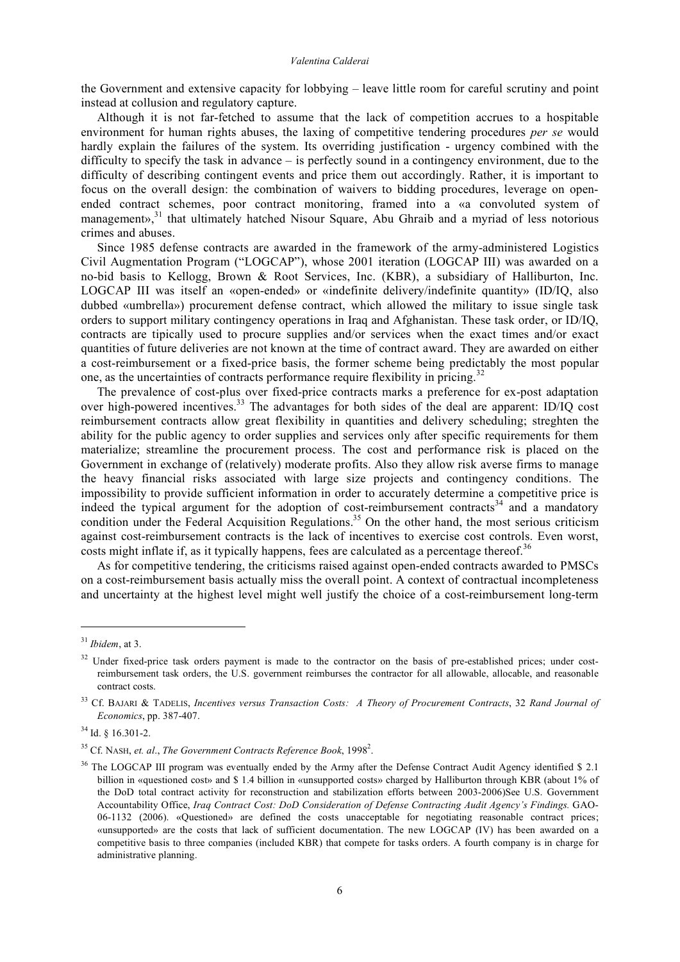the Government and extensive capacity for lobbying – leave little room for careful scrutiny and point instead at collusion and regulatory capture.

Although it is not far-fetched to assume that the lack of competition accrues to a hospitable environment for human rights abuses, the laxing of competitive tendering procedures *per se* would hardly explain the failures of the system. Its overriding justification - urgency combined with the difficulty to specify the task in advance – is perfectly sound in a contingency environment, due to the difficulty of describing contingent events and price them out accordingly. Rather, it is important to focus on the overall design: the combination of waivers to bidding procedures, leverage on openended contract schemes, poor contract monitoring, framed into a «a convoluted system of management»,<sup>31</sup> that ultimately hatched Nisour Square, Abu Ghraib and a myriad of less notorious crimes and abuses.

Since 1985 defense contracts are awarded in the framework of the army-administered Logistics Civil Augmentation Program ("LOGCAP"), whose 2001 iteration (LOGCAP III) was awarded on a no-bid basis to Kellogg, Brown & Root Services, Inc. (KBR), a subsidiary of Halliburton, Inc. LOGCAP III was itself an «open-ended» or «indefinite delivery/indefinite quantity» (ID/IQ, also dubbed «umbrella») procurement defense contract, which allowed the military to issue single task orders to support military contingency operations in Iraq and Afghanistan. These task order, or ID/IQ, contracts are tipically used to procure supplies and/or services when the exact times and/or exact quantities of future deliveries are not known at the time of contract award. They are awarded on either a cost-reimbursement or a fixed-price basis, the former scheme being predictably the most popular one, as the uncertainties of contracts performance require flexibility in pricing.<sup>32</sup>

The prevalence of cost-plus over fixed-price contracts marks a preference for ex-post adaptation over high-powered incentives.<sup>33</sup> The advantages for both sides of the deal are apparent: ID/IQ cost reimbursement contracts allow great flexibility in quantities and delivery scheduling; streghten the ability for the public agency to order supplies and services only after specific requirements for them materialize; streamline the procurement process. The cost and performance risk is placed on the Government in exchange of (relatively) moderate profits. Also they allow risk averse firms to manage the heavy financial risks associated with large size projects and contingency conditions. The impossibility to provide sufficient information in order to accurately determine a competitive price is indeed the typical argument for the adoption of cost-reimbursement contracts<sup>34</sup> and a mandatory condition under the Federal Acquisition Regulations.<sup>35</sup> On the other hand, the most serious criticism against cost-reimbursement contracts is the lack of incentives to exercise cost controls. Even worst, costs might inflate if, as it typically happens, fees are calculated as a percentage thereof.<sup>36</sup>

As for competitive tendering, the criticisms raised against open-ended contracts awarded to PMSCs on a cost-reimbursement basis actually miss the overall point. A context of contractual incompleteness and uncertainty at the highest level might well justify the choice of a cost-reimbursement long-term

<sup>31</sup> *Ibidem*, at 3.

<sup>&</sup>lt;sup>32</sup> Under fixed-price task orders payment is made to the contractor on the basis of pre-established prices; under costreimbursement task orders, the U.S. government reimburses the contractor for all allowable, allocable, and reasonable contract costs.

<sup>33</sup> Cf. BAJARI & TADELIS, *Incentives versus Transaction Costs: A Theory of Procurement Contracts*, 32 *Rand Journal of Economics*, pp. 387-407.

<sup>34</sup> Id. § 16.301-2.

<sup>35</sup> Cf. NASH, *et. al*., *The Government Contracts Reference Book*, 19982 .

<sup>&</sup>lt;sup>36</sup> The LOGCAP III program was eventually ended by the Army after the Defense Contract Audit Agency identified \$ 2.1 billion in «questioned cost» and \$ 1.4 billion in «unsupported costs» charged by Halliburton through KBR (about 1% of the DoD total contract activity for reconstruction and stabilization efforts between 2003-2006)See U.S. Government Accountability Office, *Iraq Contract Cost: DoD Consideration of Defense Contracting Audit Agency's Findings.* GAO-06-1132 (2006). «Questioned» are defined the costs unacceptable for negotiating reasonable contract prices; «unsupported» are the costs that lack of sufficient documentation. The new LOGCAP (IV) has been awarded on a competitive basis to three companies (included KBR) that compete for tasks orders. A fourth company is in charge for administrative planning.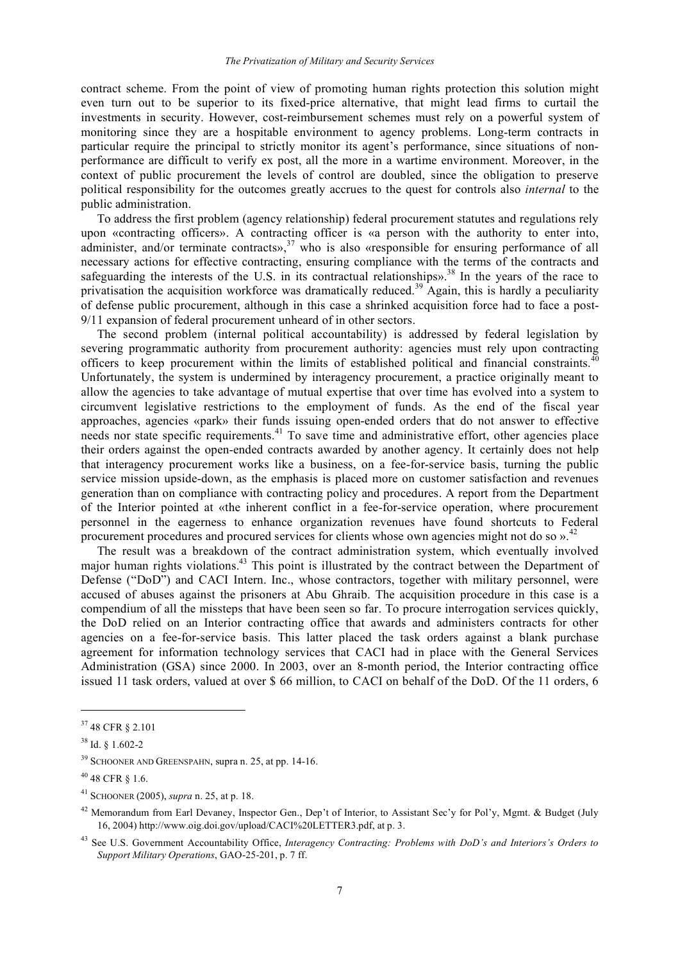contract scheme. From the point of view of promoting human rights protection this solution might even turn out to be superior to its fixed-price alternative, that might lead firms to curtail the investments in security. However, cost-reimbursement schemes must rely on a powerful system of monitoring since they are a hospitable environment to agency problems. Long-term contracts in particular require the principal to strictly monitor its agent's performance, since situations of nonperformance are difficult to verify ex post, all the more in a wartime environment. Moreover, in the context of public procurement the levels of control are doubled, since the obligation to preserve political responsibility for the outcomes greatly accrues to the quest for controls also *internal* to the public administration.

To address the first problem (agency relationship) federal procurement statutes and regulations rely upon «contracting officers». A contracting officer is «a person with the authority to enter into, administer, and/or terminate contracts»,<sup>37</sup> who is also «responsible for ensuring performance of all necessary actions for effective contracting, ensuring compliance with the terms of the contracts and safeguarding the interests of the U.S. in its contractual relationships».<sup>38</sup> In the years of the race to privatisation the acquisition workforce was dramatically reduced.<sup>39</sup> Again, this is hardly a peculiarity of defense public procurement, although in this case a shrinked acquisition force had to face a post-9/11 expansion of federal procurement unheard of in other sectors.

The second problem (internal political accountability) is addressed by federal legislation by severing programmatic authority from procurement authority: agencies must rely upon contracting officers to keep procurement within the limits of established political and financial constraints.  $40$ Unfortunately, the system is undermined by interagency procurement, a practice originally meant to allow the agencies to take advantage of mutual expertise that over time has evolved into a system to circumvent legislative restrictions to the employment of funds. As the end of the fiscal year approaches, agencies «park» their funds issuing open-ended orders that do not answer to effective needs nor state specific requirements. <sup>41</sup> To save time and administrative effort, other agencies place their orders against the open-ended contracts awarded by another agency. It certainly does not help that interagency procurement works like a business, on a fee-for-service basis, turning the public service mission upside-down, as the emphasis is placed more on customer satisfaction and revenues generation than on compliance with contracting policy and procedures. A report from the Department of the Interior pointed at «the inherent conflict in a fee-for-service operation, where procurement personnel in the eagerness to enhance organization revenues have found shortcuts to Federal procurement procedures and procured services for clients whose own agencies might not do so ».<sup>42</sup>

The result was a breakdown of the contract administration system, which eventually involved major human rights violations.<sup>43</sup> This point is illustrated by the contract between the Department of Defense ("DoD") and CACI Intern. Inc., whose contractors, together with military personnel, were accused of abuses against the prisoners at Abu Ghraib. The acquisition procedure in this case is a compendium of all the missteps that have been seen so far. To procure interrogation services quickly, the DoD relied on an Interior contracting office that awards and administers contracts for other agencies on a fee-for-service basis. This latter placed the task orders against a blank purchase agreement for information technology services that CACI had in place with the General Services Administration (GSA) since 2000. In 2003, over an 8-month period, the Interior contracting office issued 11 task orders, valued at over \$ 66 million, to CACI on behalf of the DoD. Of the 11 orders, 6

<sup>37</sup> 48 CFR § 2.101

<sup>38</sup> Id. § 1.602-2

<sup>&</sup>lt;sup>39</sup> SCHOONER AND GREENSPAHN, supra n. 25, at pp. 14-16.

<sup>40</sup> 48 CFR § 1.6.

<sup>41</sup> SCHOONER (2005), *supra* n. 25, at p. 18.

<sup>&</sup>lt;sup>42</sup> Memorandum from Earl Devaney, Inspector Gen., Dep't of Interior, to Assistant Sec'y for Pol'y, Mgmt. & Budget (July 16, 2004) http://www.oig.doi.gov/upload/CACI%20LETTER3.pdf, at p. 3.

<sup>43</sup> See U.S. Government Accountability Office, *Interagency Contracting: Problems with DoD's and Interiors's Orders to Support Military Operations*, GAO-25-201, p. 7 ff.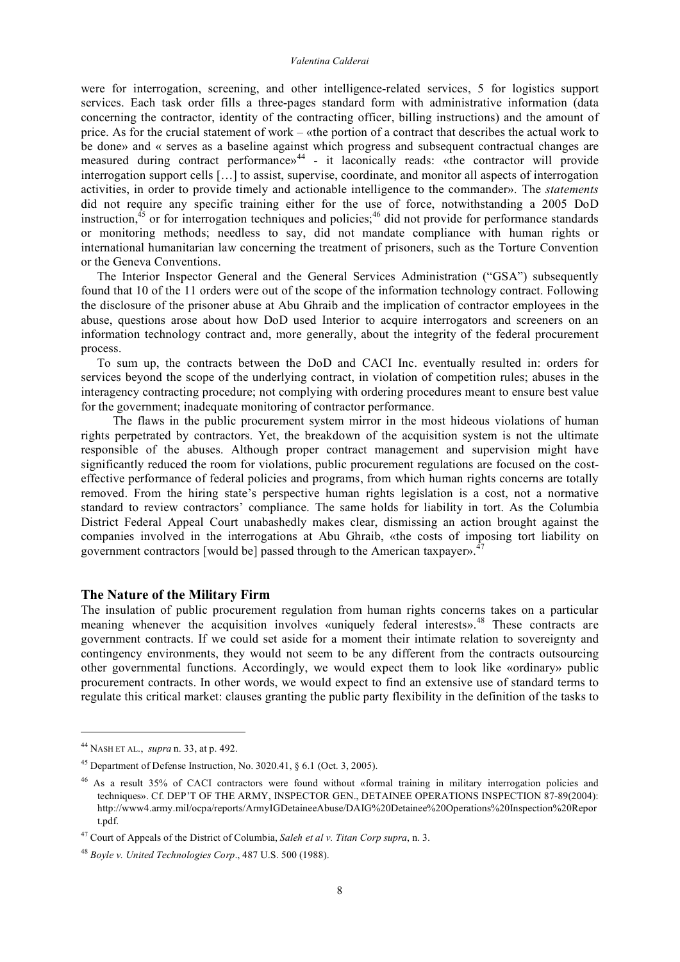were for interrogation, screening, and other intelligence-related services, 5 for logistics support services. Each task order fills a three-pages standard form with administrative information (data concerning the contractor, identity of the contracting officer, billing instructions) and the amount of price. As for the crucial statement of work – «the portion of a contract that describes the actual work to be done» and « serves as a baseline against which progress and subsequent contractual changes are measured during contract performance»<sup>44</sup> - it laconically reads: «the contractor will provide interrogation support cells […] to assist, supervise, coordinate, and monitor all aspects of interrogation activities, in order to provide timely and actionable intelligence to the commander». The *statements* did not require any specific training either for the use of force, notwithstanding a 2005 DoD instruction,<sup>45</sup> or for interrogation techniques and policies;<sup>46</sup> did not provide for performance standards or monitoring methods; needless to say, did not mandate compliance with human rights or international humanitarian law concerning the treatment of prisoners, such as the Torture Convention or the Geneva Conventions.

The Interior Inspector General and the General Services Administration ("GSA") subsequently found that 10 of the 11 orders were out of the scope of the information technology contract. Following the disclosure of the prisoner abuse at Abu Ghraib and the implication of contractor employees in the abuse, questions arose about how DoD used Interior to acquire interrogators and screeners on an information technology contract and, more generally, about the integrity of the federal procurement process.

To sum up, the contracts between the DoD and CACI Inc. eventually resulted in: orders for services beyond the scope of the underlying contract, in violation of competition rules; abuses in the interagency contracting procedure; not complying with ordering procedures meant to ensure best value for the government; inadequate monitoring of contractor performance.

The flaws in the public procurement system mirror in the most hideous violations of human rights perpetrated by contractors. Yet, the breakdown of the acquisition system is not the ultimate responsible of the abuses. Although proper contract management and supervision might have significantly reduced the room for violations, public procurement regulations are focused on the costeffective performance of federal policies and programs, from which human rights concerns are totally removed. From the hiring state's perspective human rights legislation is a cost, not a normative standard to review contractors' compliance. The same holds for liability in tort. As the Columbia District Federal Appeal Court unabashedly makes clear, dismissing an action brought against the companies involved in the interrogations at Abu Ghraib, «the costs of imposing tort liability on government contractors [would be] passed through to the American taxpayer».<sup>47</sup>

## **The Nature of the Military Firm**

The insulation of public procurement regulation from human rights concerns takes on a particular meaning whenever the acquisition involves «uniquely federal interests».<sup>48</sup> These contracts are government contracts. If we could set aside for a moment their intimate relation to sovereignty and contingency environments, they would not seem to be any different from the contracts outsourcing other governmental functions. Accordingly, we would expect them to look like «ordinary» public procurement contracts. In other words, we would expect to find an extensive use of standard terms to regulate this critical market: clauses granting the public party flexibility in the definition of the tasks to

<sup>44</sup> NASH ET AL., *supra* n. 33, at p. 492.

<sup>45</sup> Department of Defense Instruction, No. 3020.41, § 6.1 (Oct. 3, 2005).

<sup>46</sup> As a result 35% of CACI contractors were found without «formal training in military interrogation policies and techniques». Cf. DEP'T OF THE ARMY, INSPECTOR GEN., DETAINEE OPERATIONS INSPECTION 87-89(2004): http://www4.army.mil/ocpa/reports/ArmyIGDetaineeAbuse/DAIG%20Detainee%20Operations%20Inspection%20Repor t.pdf.

<sup>47</sup> Court of Appeals of the District of Columbia, *Saleh et al v. Titan Corp supra*, n. 3.

<sup>48</sup> *Boyle v. United Technologies Corp*., 487 U.S. 500 (1988).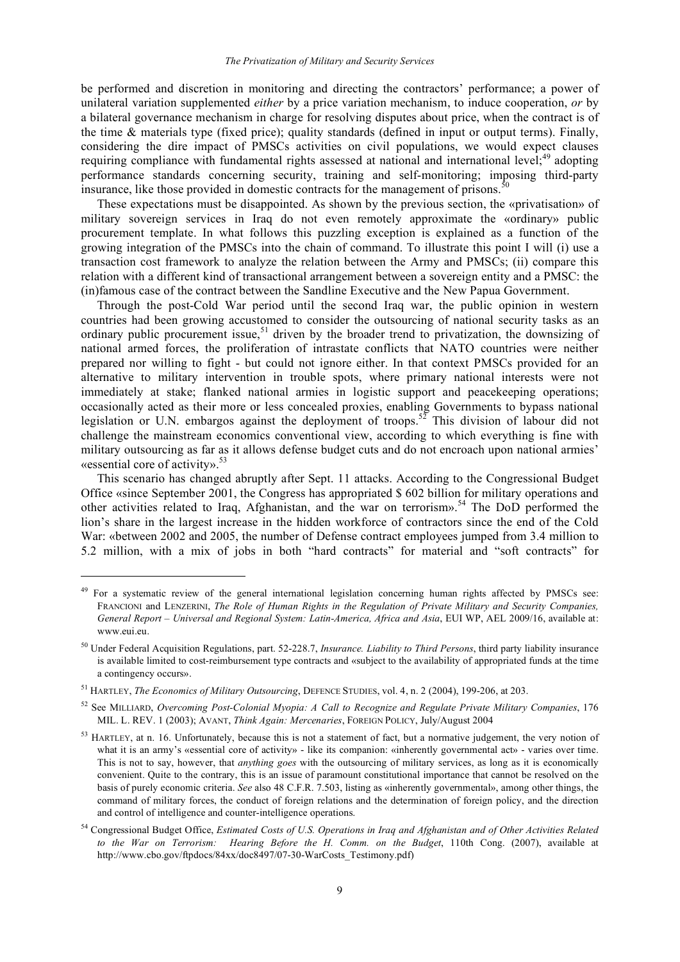be performed and discretion in monitoring and directing the contractors' performance; a power of unilateral variation supplemented *either* by a price variation mechanism, to induce cooperation, *or* by a bilateral governance mechanism in charge for resolving disputes about price, when the contract is of the time & materials type (fixed price); quality standards (defined in input or output terms). Finally, considering the dire impact of PMSCs activities on civil populations, we would expect clauses requiring compliance with fundamental rights assessed at national and international level;<sup>49</sup> adopting performance standards concerning security, training and self-monitoring; imposing third-party insurance, like those provided in domestic contracts for the management of prisons.  $50$ 

These expectations must be disappointed. As shown by the previous section, the «privatisation» of military sovereign services in Iraq do not even remotely approximate the «ordinary» public procurement template. In what follows this puzzling exception is explained as a function of the growing integration of the PMSCs into the chain of command. To illustrate this point I will (i) use a transaction cost framework to analyze the relation between the Army and PMSCs; (ii) compare this relation with a different kind of transactional arrangement between a sovereign entity and a PMSC: the (in)famous case of the contract between the Sandline Executive and the New Papua Government.

Through the post-Cold War period until the second Iraq war, the public opinion in western countries had been growing accustomed to consider the outsourcing of national security tasks as an ordinary public procurement issue,<sup>51</sup> driven by the broader trend to privatization, the downsizing of national armed forces, the proliferation of intrastate conflicts that NATO countries were neither prepared nor willing to fight - but could not ignore either. In that context PMSCs provided for an alternative to military intervention in trouble spots, where primary national interests were not immediately at stake; flanked national armies in logistic support and peacekeeping operations; occasionally acted as their more or less concealed proxies, enabling Governments to bypass national legislation or U.N. embargos against the deployment of troops.<sup>52</sup> This division of labour did not challenge the mainstream economics conventional view, according to which everything is fine with military outsourcing as far as it allows defense budget cuts and do not encroach upon national armies' «essential core of activity». 53

This scenario has changed abruptly after Sept. 11 attacks. According to the Congressional Budget Office «since September 2001, the Congress has appropriated \$ 602 billion for military operations and other activities related to Iraq, Afghanistan, and the war on terrorism».<sup>54</sup> The DoD performed the lion's share in the largest increase in the hidden workforce of contractors since the end of the Cold War: «between 2002 and 2005, the number of Defense contract employees jumped from 3.4 million to 5.2 million, with a mix of jobs in both "hard contracts" for material and "soft contracts" for

<sup>&</sup>lt;sup>49</sup> For a systematic review of the general international legislation concerning human rights affected by PMSCs see: FRANCIONI and LENZERINI, *The Role of Human Rights in the Regulation of Private Military and Security Companies, General Report – Universal and Regional System: Latin-America, Africa and Asia*, EUI WP, AEL 2009/16, available at: www.eui.eu.

<sup>50</sup> Under Federal Acquisition Regulations, part. 52-228.7, *Insurance. Liability to Third Persons*, third party liability insurance is available limited to cost-reimbursement type contracts and «subject to the availability of appropriated funds at the time a contingency occurs».

<sup>51</sup> HARTLEY, *The Economics of Military Outsourcing*, DEFENCE STUDIES, vol. 4, n. 2 (2004), 199-206, at 203.

<sup>52</sup> See MILLIARD, *Overcoming Post-Colonial Myopia: A Call to Recognize and Regulate Private Military Companies*, 176 MIL. L. REV. 1 (2003); AVANT, *Think Again: Mercenaries*, FOREIGN POLICY, July/August 2004

 $53$  HARTLEY, at n. 16. Unfortunately, because this is not a statement of fact, but a normative judgement, the very notion of what it is an army's «essential core of activity» - like its companion: «inherently governmental act» - varies over time. This is not to say, however, that *anything goes* with the outsourcing of military services, as long as it is economically convenient. Quite to the contrary, this is an issue of paramount constitutional importance that cannot be resolved on the basis of purely economic criteria. *See* also 48 C.F.R. 7.503, listing as «inherently governmental», among other things, the command of military forces, the conduct of foreign relations and the determination of foreign policy, and the direction and control of intelligence and counter-intelligence operations.

<sup>54</sup> Congressional Budget Office, *Estimated Costs of U.S. Operations in Iraq and Afghanistan and of Other Activities Related to the War on Terrorism: Hearing Before the H. Comm. on the Budget*, 110th Cong. (2007), available at http://www.cbo.gov/ftpdocs/84xx/doc8497/07-30-WarCosts\_Testimony.pdf)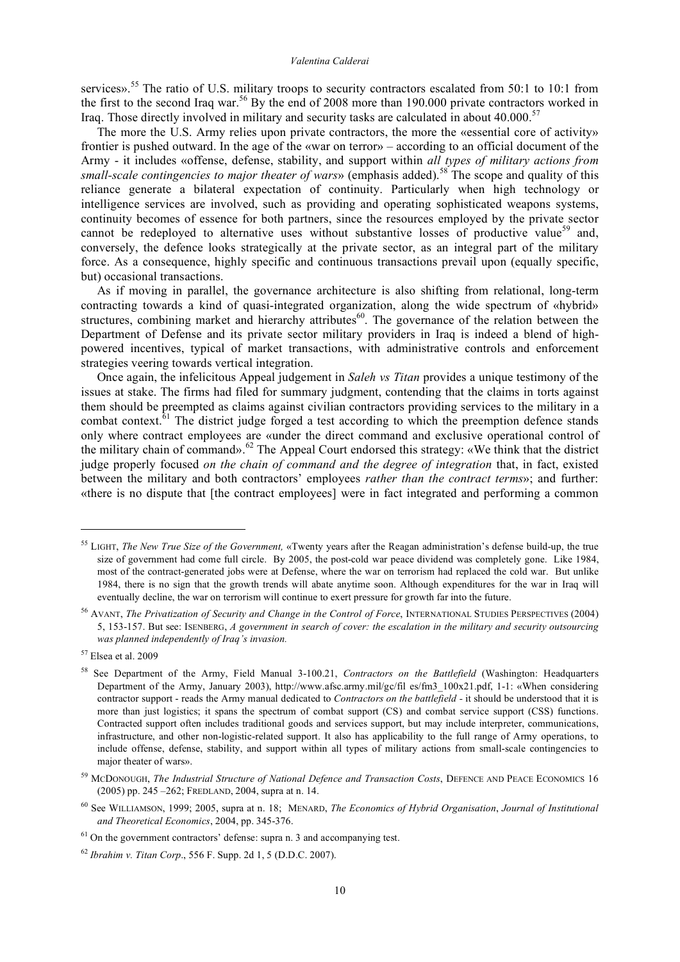#### *Valentina Calderai*

services».<sup>55</sup> The ratio of U.S. military troops to security contractors escalated from 50:1 to 10:1 from the first to the second Iraq war.<sup>56</sup> By the end of 2008 more than 190.000 private contractors worked in Iraq. Those directly involved in military and security tasks are calculated in about 40.000.<sup>57</sup>

The more the U.S. Army relies upon private contractors, the more the «essential core of activity» frontier is pushed outward. In the age of the «war on terror» – according to an official document of the Army - it includes «offense, defense, stability, and support within *all types of military actions from small-scale contingencies to major theater of wars*» (emphasis added). <sup>58</sup> The scope and quality of this reliance generate a bilateral expectation of continuity. Particularly when high technology or intelligence services are involved, such as providing and operating sophisticated weapons systems, continuity becomes of essence for both partners, since the resources employed by the private sector cannot be redeployed to alternative uses without substantive losses of productive value<sup>59</sup> and, conversely, the defence looks strategically at the private sector, as an integral part of the military force. As a consequence, highly specific and continuous transactions prevail upon (equally specific, but) occasional transactions.

As if moving in parallel, the governance architecture is also shifting from relational, long-term contracting towards a kind of quasi-integrated organization, along the wide spectrum of «hybrid» structures, combining market and hierarchy attributes<sup>60</sup>. The governance of the relation between the Department of Defense and its private sector military providers in Iraq is indeed a blend of highpowered incentives, typical of market transactions, with administrative controls and enforcement strategies veering towards vertical integration.

Once again, the infelicitous Appeal judgement in *Saleh vs Titan* provides a unique testimony of the issues at stake. The firms had filed for summary judgment, contending that the claims in torts against them should be preempted as claims against civilian contractors providing services to the military in a combat context.<sup>61</sup> The district judge forged a test according to which the preemption defence stands only where contract employees are «under the direct command and exclusive operational control of the military chain of command».<sup>62</sup> The Appeal Court endorsed this strategy: «We think that the district judge properly focused *on the chain of command and the degree of integration* that, in fact, existed between the military and both contractors' employees *rather than the contract terms*»; and further: «there is no dispute that [the contract employees] were in fact integrated and performing a common

<sup>55</sup> LIGHT, *The New True Size of the Government,* «Twenty years after the Reagan administration's defense build-up, the true size of government had come full circle. By 2005, the post-cold war peace dividend was completely gone. Like 1984, most of the contract-generated jobs were at Defense, where the war on terrorism had replaced the cold war. But unlike 1984, there is no sign that the growth trends will abate anytime soon. Although expenditures for the war in Iraq will eventually decline, the war on terrorism will continue to exert pressure for growth far into the future.

<sup>56</sup> AVANT, *The Privatization of Security and Change in the Control of Force*, INTERNATIONAL STUDIES PERSPECTIVES (2004) 5, 153-157. But see: ISENBERG, *A government in search of cover: the escalation in the military and security outsourcing was planned independently of Iraq's invasion.*

<sup>57</sup> Elsea et al. 2009

<sup>58</sup> See Department of the Army, Field Manual 3-100.21, *Contractors on the Battlefield* (Washington: Headquarters Department of the Army, January 2003), http://www.afsc.army.mil/gc/fil es/fm3\_100x21.pdf, 1-1: «When considering contractor support - reads the Army manual dedicated to *Contractors on the battlefield -* it should be understood that it is more than just logistics; it spans the spectrum of combat support (CS) and combat service support (CSS) functions. Contracted support often includes traditional goods and services support, but may include interpreter, communications, infrastructure, and other non-logistic-related support. It also has applicability to the full range of Army operations, to include offense, defense, stability, and support within all types of military actions from small-scale contingencies to major theater of wars».

<sup>59</sup> MCDONOUGH, *The Industrial Structure of National Defence and Transaction Costs*, DEFENCE AND PEACE ECONOMICS 16 (2005) pp. 245 –262; FREDLAND, 2004, supra at n. 14.

<sup>60</sup> See WILLIAMSON, 1999; 2005, supra at n. 18; MENARD, *The Economics of Hybrid Organisation*, *Journal of Institutional and Theoretical Economics*, 2004, pp. 345-376.

 $61$  On the government contractors' defense: supra n. 3 and accompanying test.

<sup>62</sup> *Ibrahim v. Titan Corp*., 556 F. Supp. 2d 1, 5 (D.D.C. 2007).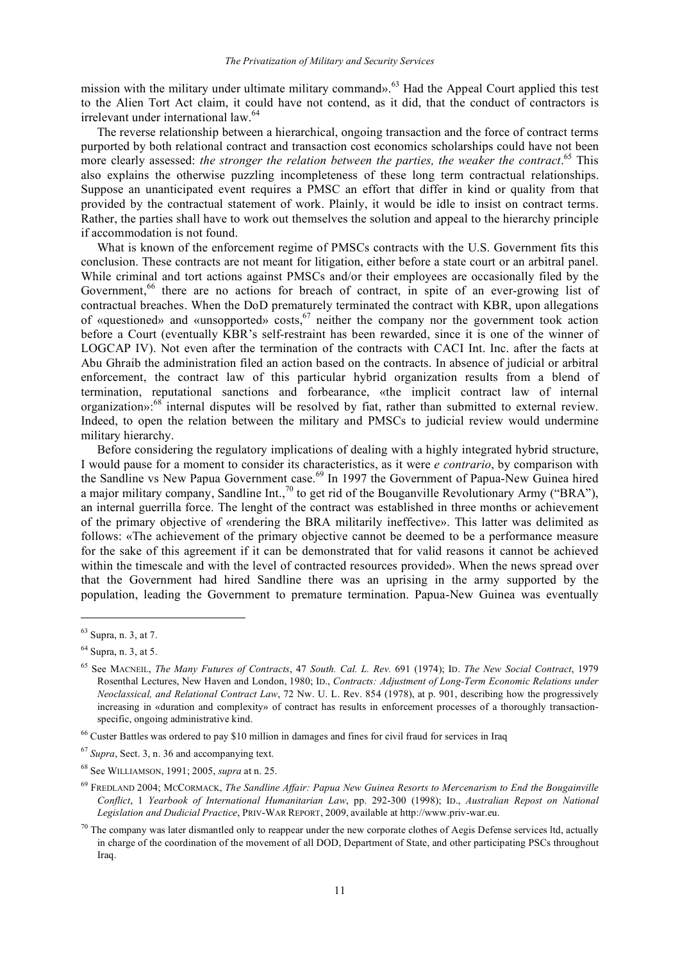mission with the military under ultimate military command».<sup>63</sup> Had the Appeal Court applied this test to the Alien Tort Act claim, it could have not contend, as it did, that the conduct of contractors is irrelevant under international law. 64

The reverse relationship between a hierarchical, ongoing transaction and the force of contract terms purported by both relational contract and transaction cost economics scholarships could have not been more clearly assessed: *the stronger the relation between the parties, the weaker the contract*. <sup>65</sup> This also explains the otherwise puzzling incompleteness of these long term contractual relationships. Suppose an unanticipated event requires a PMSC an effort that differ in kind or quality from that provided by the contractual statement of work. Plainly, it would be idle to insist on contract terms. Rather, the parties shall have to work out themselves the solution and appeal to the hierarchy principle if accommodation is not found.

What is known of the enforcement regime of PMSCs contracts with the U.S. Government fits this conclusion. These contracts are not meant for litigation, either before a state court or an arbitral panel. While criminal and tort actions against PMSCs and/or their employees are occasionally filed by the Government,<sup>66</sup> there are no actions for breach of contract, in spite of an ever-growing list of contractual breaches. When the DoD prematurely terminated the contract with KBR, upon allegations of «questioned» and «unsopported» costs, <sup>67</sup> neither the company nor the government took action before a Court (eventually KBR's self-restraint has been rewarded, since it is one of the winner of LOGCAP IV). Not even after the termination of the contracts with CACI Int. Inc. after the facts at Abu Ghraib the administration filed an action based on the contracts. In absence of judicial or arbitral enforcement, the contract law of this particular hybrid organization results from a blend of termination, reputational sanctions and forbearance, «the implicit contract law of internal organization»:<sup>68</sup> internal disputes will be resolved by fiat, rather than submitted to external review. Indeed, to open the relation between the military and PMSCs to judicial review would undermine military hierarchy.

Before considering the regulatory implications of dealing with a highly integrated hybrid structure, I would pause for a moment to consider its characteristics, as it were *e contrario*, by comparison with the Sandline vs New Papua Government case.<sup>69</sup> In 1997 the Government of Papua-New Guinea hired a major military company, Sandline Int.,<sup>70</sup> to get rid of the Bouganville Revolutionary Army ("BRA"), an internal guerrilla force. The lenght of the contract was established in three months or achievement of the primary objective of «rendering the BRA militarily ineffective». This latter was delimited as follows: «The achievement of the primary objective cannot be deemed to be a performance measure for the sake of this agreement if it can be demonstrated that for valid reasons it cannot be achieved within the timescale and with the level of contracted resources provided». When the news spread over that the Government had hired Sandline there was an uprising in the army supported by the population, leading the Government to premature termination. Papua-New Guinea was eventually

<sup>63</sup> Supra, n. 3, at 7.

 $64$  Supra, n. 3, at 5.

<sup>65</sup> See MACNEIL, *The Many Futures of Contracts*, 47 *South. Cal. L. Rev.* 691 (1974); ID. *The New Social Contract*, 1979 Rosenthal Lectures, New Haven and London, 1980; ID., *Contracts: Adjustment of Long-Term Economic Relations under Neoclassical, and Relational Contract Law*, 72 Nw. U. L. Rev. 854 (1978), at p. 901, describing how the progressively increasing in «duration and complexity» of contract has results in enforcement processes of a thoroughly transactionspecific, ongoing administrative kind.

<sup>66</sup> Custer Battles was ordered to pay \$10 million in damages and fines for civil fraud for services in Iraq

<sup>67</sup> *Supra*, Sect. 3, n. 36 and accompanying text.

<sup>68</sup> See WILLIAMSON, 1991; 2005, *supra* at n. 25.

<sup>69</sup> FREDLAND 2004; MCCORMACK, *The Sandline Affair: Papua New Guinea Resorts to Mercenarism to End the Bougainville Conflict*, 1 *Yearbook of International Humanitarian Law*, pp. 292-300 (1998); ID., *Australian Repost on National Legislation and Dudicial Practice*, PRIV-WAR REPORT, 2009, available at http://www.priv-war.eu.

 $70$  The company was later dismantled only to reappear under the new corporate clothes of Aegis Defense services ltd, actually in charge of the coordination of the movement of all DOD, Department of State, and other participating PSCs throughout Iraq.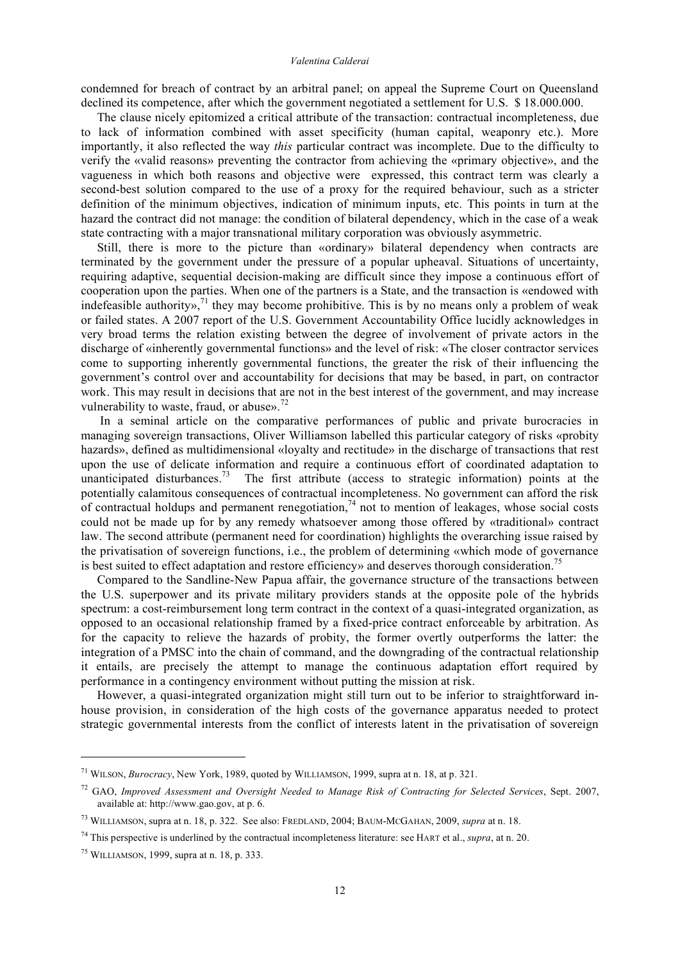#### *Valentina Calderai*

condemned for breach of contract by an arbitral panel; on appeal the Supreme Court on Queensland declined its competence, after which the government negotiated a settlement for U.S. \$ 18.000.000.

The clause nicely epitomized a critical attribute of the transaction: contractual incompleteness, due to lack of information combined with asset specificity (human capital, weaponry etc.). More importantly, it also reflected the way *this* particular contract was incomplete. Due to the difficulty to verify the «valid reasons» preventing the contractor from achieving the «primary objective», and the vagueness in which both reasons and objective were expressed, this contract term was clearly a second-best solution compared to the use of a proxy for the required behaviour, such as a stricter definition of the minimum objectives, indication of minimum inputs, etc. This points in turn at the hazard the contract did not manage: the condition of bilateral dependency, which in the case of a weak state contracting with a major transnational military corporation was obviously asymmetric.

Still, there is more to the picture than «ordinary» bilateral dependency when contracts are terminated by the government under the pressure of a popular upheaval. Situations of uncertainty, requiring adaptive, sequential decision-making are difficult since they impose a continuous effort of cooperation upon the parties. When one of the partners is a State, and the transaction is «endowed with indefeasible authority»,<sup>71</sup> they may become prohibitive. This is by no means only a problem of weak or failed states. A 2007 report of the U.S. Government Accountability Office lucidly acknowledges in very broad terms the relation existing between the degree of involvement of private actors in the discharge of «inherently governmental functions» and the level of risk: «The closer contractor services come to supporting inherently governmental functions, the greater the risk of their influencing the government's control over and accountability for decisions that may be based, in part, on contractor work. This may result in decisions that are not in the best interest of the government, and may increase vulnerability to waste, fraud, or abuse». $72$ 

In a seminal article on the comparative performances of public and private burocracies in managing sovereign transactions, Oliver Williamson labelled this particular category of risks «probity hazards», defined as multidimensional «loyalty and rectitude» in the discharge of transactions that rest upon the use of delicate information and require a continuous effort of coordinated adaptation to unanticipated disturbances.<sup>73</sup> The first attribute (access to strategic information) points at the potentially calamitous consequences of contractual incompleteness. No government can afford the risk of contractual holdups and permanent renegotiation,  $74$  not to mention of leakages, whose social costs could not be made up for by any remedy whatsoever among those offered by «traditional» contract law. The second attribute (permanent need for coordination) highlights the overarching issue raised by the privatisation of sovereign functions, i.e., the problem of determining «which mode of governance is best suited to effect adaptation and restore efficiency» and deserves thorough consideration.<sup>75</sup>

Compared to the Sandline-New Papua affair, the governance structure of the transactions between the U.S. superpower and its private military providers stands at the opposite pole of the hybrids spectrum: a cost-reimbursement long term contract in the context of a quasi-integrated organization, as opposed to an occasional relationship framed by a fixed-price contract enforceable by arbitration. As for the capacity to relieve the hazards of probity, the former overtly outperforms the latter: the integration of a PMSC into the chain of command, and the downgrading of the contractual relationship it entails, are precisely the attempt to manage the continuous adaptation effort required by performance in a contingency environment without putting the mission at risk.

However, a quasi-integrated organization might still turn out to be inferior to straightforward inhouse provision, in consideration of the high costs of the governance apparatus needed to protect strategic governmental interests from the conflict of interests latent in the privatisation of sovereign

<sup>71</sup> WILSON, *Burocracy*, New York, 1989, quoted by WILLIAMSON, 1999, supra at n. 18, at p. 321.

<sup>72</sup> GAO, *Improved Assessment and Oversight Needed to Manage Risk of Contracting for Selected Services*, Sept. 2007, available at: http://www.gao.gov, at p. 6.

<sup>73</sup> WILLIAMSON, supra at n. 18, p. 322. See also: FREDLAND, 2004; BAUM-MCGAHAN, 2009, *supra* at n. 18.

<sup>74</sup> This perspective is underlined by the contractual incompleteness literature: see HART et al., *supra*, at n. 20.

<sup>75</sup> WILLIAMSON, 1999, supra at n. 18, p. 333.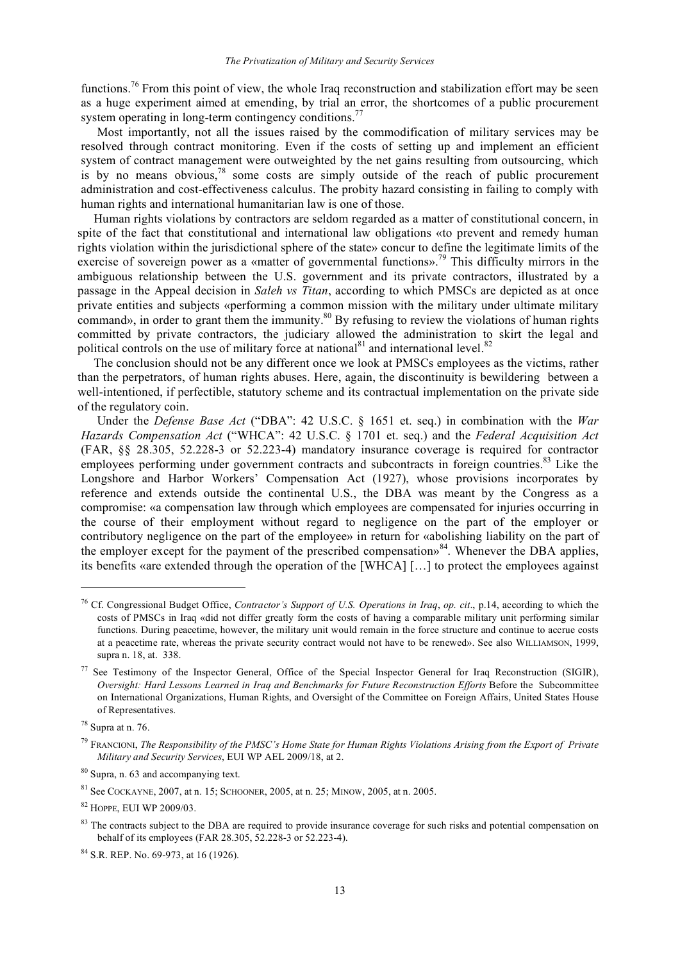functions.<sup>76</sup> From this point of view, the whole Iraq reconstruction and stabilization effort may be seen as a huge experiment aimed at emending, by trial an error, the shortcomes of a public procurement system operating in long-term contingency conditions.<sup>77</sup>

Most importantly, not all the issues raised by the commodification of military services may be resolved through contract monitoring. Even if the costs of setting up and implement an efficient system of contract management were outweighted by the net gains resulting from outsourcing, which is by no means obvious,<sup>78</sup> some costs are simply outside of the reach of public procurement administration and cost-effectiveness calculus. The probity hazard consisting in failing to comply with human rights and international humanitarian law is one of those.

Human rights violations by contractors are seldom regarded as a matter of constitutional concern, in spite of the fact that constitutional and international law obligations «to prevent and remedy human rights violation within the jurisdictional sphere of the state» concur to define the legitimate limits of the exercise of sovereign power as a «matter of governmental functions».<sup>79</sup> This difficulty mirrors in the ambiguous relationship between the U.S. government and its private contractors, illustrated by a passage in the Appeal decision in *Saleh vs Titan*, according to which PMSCs are depicted as at once private entities and subjects «performing a common mission with the military under ultimate military command», in order to grant them the immunity. <sup>80</sup> By refusing to review the violations of human rights committed by private contractors, the judiciary allowed the administration to skirt the legal and political controls on the use of military force at national<sup>81</sup> and international level.<sup>82</sup>

The conclusion should not be any different once we look at PMSCs employees as the victims, rather than the perpetrators, of human rights abuses. Here, again, the discontinuity is bewildering between a well-intentioned, if perfectible, statutory scheme and its contractual implementation on the private side of the regulatory coin.

Under the *Defense Base Act* ("DBA": 42 U.S.C. § 1651 et. seq.) in combination with the *War Hazards Compensation Act* ("WHCA": 42 U.S.C. § 1701 et. seq.) and the *Federal Acquisition Act* (FAR, §§ 28.305, 52.228-3 or 52.223-4) mandatory insurance coverage is required for contractor employees performing under government contracts and subcontracts in foreign countries.<sup>83</sup> Like the Longshore and Harbor Workers' Compensation Act (1927), whose provisions incorporates by reference and extends outside the continental U.S., the DBA was meant by the Congress as a compromise: «a compensation law through which employees are compensated for injuries occurring in the course of their employment without regard to negligence on the part of the employer or contributory negligence on the part of the employee» in return for «abolishing liability on the part of the employer except for the payment of the prescribed compensation»<sup>84</sup>. Whenever the DBA applies, its benefits «are extended through the operation of the [WHCA] […] to protect the employees against

<sup>76</sup> Cf. Congressional Budget Office, *Contractor's Support of U.S. Operations in Iraq*, *op. cit*., p.14, according to which the costs of PMSCs in Iraq «did not differ greatly form the costs of having a comparable military unit performing similar functions. During peacetime, however, the military unit would remain in the force structure and continue to accrue costs at a peacetime rate, whereas the private security contract would not have to be renewed». See also WILLIAMSON, 1999, supra n. 18, at. 338.

<sup>77</sup> See Testimony of the Inspector General, Office of the Special Inspector General for Iraq Reconstruction (SIGIR), *Oversight: Hard Lessons Learned in Iraq and Benchmarks for Future Reconstruction Efforts* Before the Subcommittee on International Organizations, Human Rights, and Oversight of the Committee on Foreign Affairs, United States House of Representatives.

<sup>78</sup> Supra at n. 76.

<sup>&</sup>lt;sup>79</sup> FRANCIONI, *The Responsibility of the PMSC's Home State for Human Rights Violations Arising from the Export of Private Military and Security Services*, EUI WP AEL 2009/18, at 2.

<sup>80</sup> Supra, n. 63 and accompanying text.

 $81$  See COCKAYNE, 2007, at n. 15; SCHOONER, 2005, at n. 25; MINOW, 2005, at n. 2005.

<sup>82</sup> HOPPE, EUI WP 2009/03.

<sup>&</sup>lt;sup>83</sup> The contracts subject to the DBA are required to provide insurance coverage for such risks and potential compensation on behalf of its employees (FAR 28.305, 52.228-3 or 52.223-4).

<sup>84</sup> S.R. REP. No. 69-973, at 16 (1926).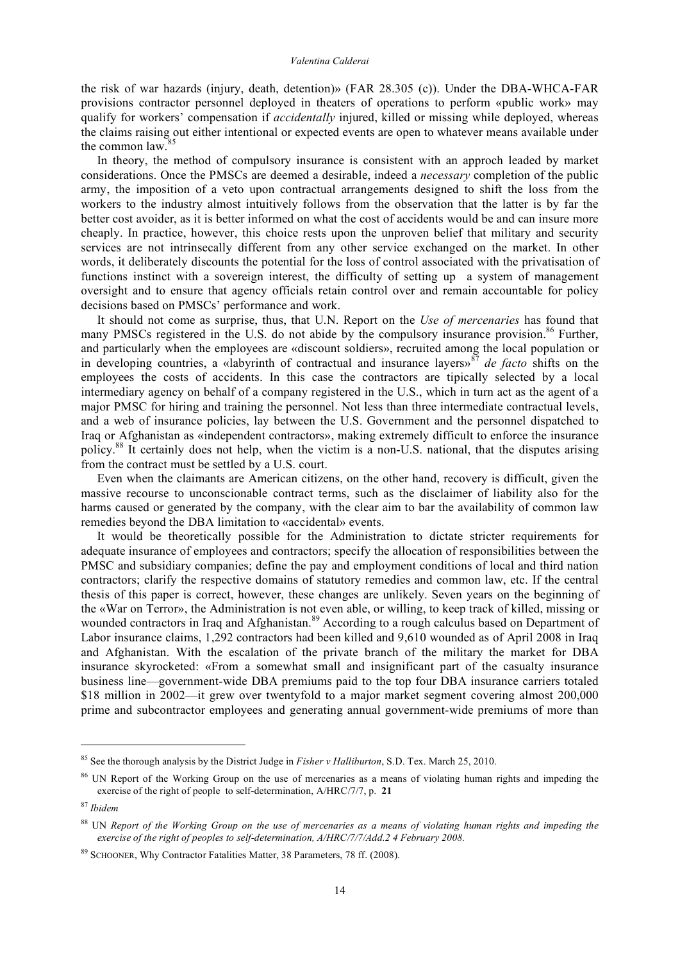the risk of war hazards (injury, death, detention)» (FAR 28.305 (c)). Under the DBA-WHCA-FAR provisions contractor personnel deployed in theaters of operations to perform «public work» may qualify for workers' compensation if *accidentally* injured, killed or missing while deployed, whereas the claims raising out either intentional or expected events are open to whatever means available under the common law. 85

In theory, the method of compulsory insurance is consistent with an approch leaded by market considerations. Once the PMSCs are deemed a desirable, indeed a *necessary* completion of the public army, the imposition of a veto upon contractual arrangements designed to shift the loss from the workers to the industry almost intuitively follows from the observation that the latter is by far the better cost avoider, as it is better informed on what the cost of accidents would be and can insure more cheaply. In practice, however, this choice rests upon the unproven belief that military and security services are not intrinsecally different from any other service exchanged on the market. In other words, it deliberately discounts the potential for the loss of control associated with the privatisation of functions instinct with a sovereign interest, the difficulty of setting up a system of management oversight and to ensure that agency officials retain control over and remain accountable for policy decisions based on PMSCs' performance and work.

It should not come as surprise, thus, that U.N. Report on the *Use of mercenaries* has found that many PMSCs registered in the U.S. do not abide by the compulsory insurance provision.<sup>86</sup> Further, and particularly when the employees are «discount soldiers», recruited among the local population or in developing countries, a «labyrinth of contractual and insurance layers» <sup>87</sup> *de facto* shifts on the employees the costs of accidents. In this case the contractors are tipically selected by a local intermediary agency on behalf of a company registered in the U.S., which in turn act as the agent of a major PMSC for hiring and training the personnel. Not less than three intermediate contractual levels, and a web of insurance policies, lay between the U.S. Government and the personnel dispatched to Iraq or Afghanistan as «independent contractors», making extremely difficult to enforce the insurance policy.<sup>88</sup> It certainly does not help, when the victim is a non-U.S. national, that the disputes arising from the contract must be settled by a U.S. court.

Even when the claimants are American citizens, on the other hand, recovery is difficult, given the massive recourse to unconscionable contract terms, such as the disclaimer of liability also for the harms caused or generated by the company, with the clear aim to bar the availability of common law remedies beyond the DBA limitation to «accidental» events.

It would be theoretically possible for the Administration to dictate stricter requirements for adequate insurance of employees and contractors; specify the allocation of responsibilities between the PMSC and subsidiary companies; define the pay and employment conditions of local and third nation contractors; clarify the respective domains of statutory remedies and common law, etc. If the central thesis of this paper is correct, however, these changes are unlikely. Seven years on the beginning of the «War on Terror», the Administration is not even able, or willing, to keep track of killed, missing or wounded contractors in Iraq and Afghanistan.<sup>89</sup> According to a rough calculus based on Department of Labor insurance claims, 1,292 contractors had been killed and 9,610 wounded as of April 2008 in Iraq and Afghanistan. With the escalation of the private branch of the military the market for DBA insurance skyrocketed: «From a somewhat small and insignificant part of the casualty insurance business line—government-wide DBA premiums paid to the top four DBA insurance carriers totaled \$18 million in 2002—it grew over twentyfold to a major market segment covering almost 200,000 prime and subcontractor employees and generating annual government-wide premiums of more than

<sup>85</sup> See the thorough analysis by the District Judge in *Fisher v Halliburton*, S.D. Tex. March 25, 2010.

<sup>&</sup>lt;sup>86</sup> UN Report of the Working Group on the use of mercenaries as a means of violating human rights and impeding the exercise of the right of people to self-determination, A/HRC/7/7, p. **21**

<sup>87</sup> *Ibidem*

<sup>&</sup>lt;sup>88</sup> UN Report of the Working Group on the use of mercenaries as a means of violating human rights and impeding the *exercise of the right of peoples to self-determination, A/HRC/7/7/Add.2 4 February 2008.*

<sup>89</sup> SCHOONER, Why Contractor Fatalities Matter, 38 Parameters, 78 ff. (2008).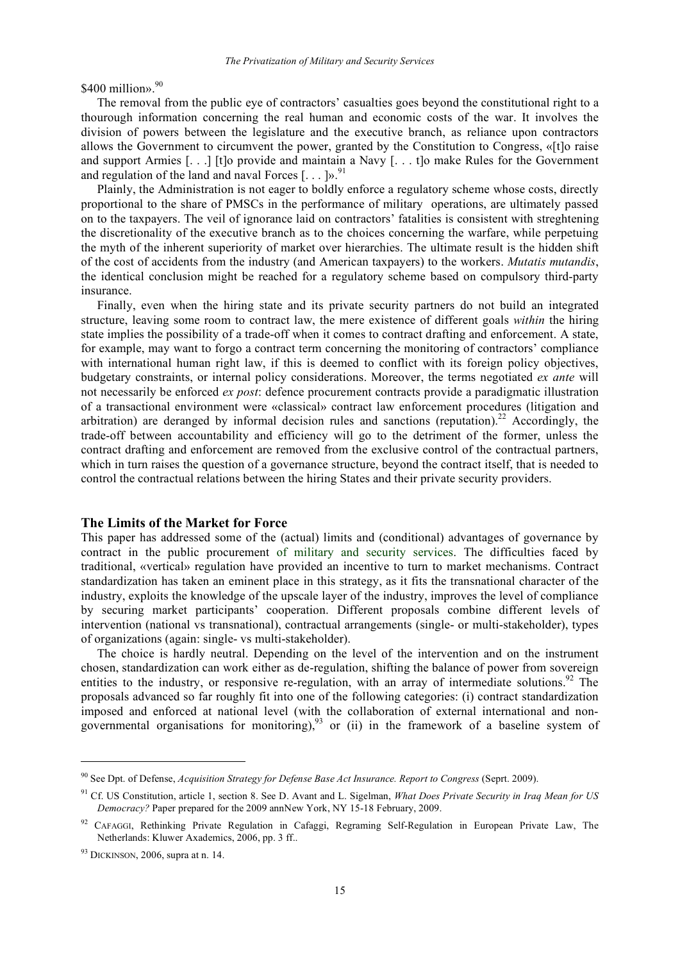\$400 million».<sup>90</sup>

The removal from the public eye of contractors' casualties goes beyond the constitutional right to a thourough information concerning the real human and economic costs of the war. It involves the division of powers between the legislature and the executive branch, as reliance upon contractors allows the Government to circumvent the power, granted by the Constitution to Congress, «[t]o raise and support Armies [. . .] [t]o provide and maintain a Navy [. . . t]o make Rules for the Government and regulation of the land and naval Forces  $\left[ \ldots \right]$ <sup>91</sup>

Plainly, the Administration is not eager to boldly enforce a regulatory scheme whose costs, directly proportional to the share of PMSCs in the performance of military operations, are ultimately passed on to the taxpayers. The veil of ignorance laid on contractors' fatalities is consistent with streghtening the discretionality of the executive branch as to the choices concerning the warfare, while perpetuing the myth of the inherent superiority of market over hierarchies. The ultimate result is the hidden shift of the cost of accidents from the industry (and American taxpayers) to the workers. *Mutatis mutandis*, the identical conclusion might be reached for a regulatory scheme based on compulsory third-party insurance.

Finally, even when the hiring state and its private security partners do not build an integrated structure, leaving some room to contract law, the mere existence of different goals *within* the hiring state implies the possibility of a trade-off when it comes to contract drafting and enforcement. A state, for example, may want to forgo a contract term concerning the monitoring of contractors' compliance with international human right law, if this is deemed to conflict with its foreign policy objectives, budgetary constraints, or internal policy considerations. Moreover, the terms negotiated *ex ante* will not necessarily be enforced *ex post*: defence procurement contracts provide a paradigmatic illustration of a transactional environment were «classical» contract law enforcement procedures (litigation and arbitration) are deranged by informal decision rules and sanctions (reputation).<sup>22</sup> Accordingly, the trade-off between accountability and efficiency will go to the detriment of the former, unless the contract drafting and enforcement are removed from the exclusive control of the contractual partners, which in turn raises the question of a governance structure, beyond the contract itself, that is needed to control the contractual relations between the hiring States and their private security providers.

## **The Limits of the Market for Force**

This paper has addressed some of the (actual) limits and (conditional) advantages of governance by contract in the public procurement of military and security services. The difficulties faced by traditional, «vertical» regulation have provided an incentive to turn to market mechanisms. Contract standardization has taken an eminent place in this strategy, as it fits the transnational character of the industry, exploits the knowledge of the upscale layer of the industry, improves the level of compliance by securing market participants' cooperation. Different proposals combine different levels of intervention (national vs transnational), contractual arrangements (single- or multi-stakeholder), types of organizations (again: single- vs multi-stakeholder).

The choice is hardly neutral. Depending on the level of the intervention and on the instrument chosen, standardization can work either as de-regulation, shifting the balance of power from sovereign entities to the industry, or responsive re-regulation, with an array of intermediate solutions.<sup>92</sup> The proposals advanced so far roughly fit into one of the following categories: (i) contract standardization imposed and enforced at national level (with the collaboration of external international and nongovernmental organisations for monitoring), $^{93}$  or (ii) in the framework of a baseline system of

<sup>90</sup> See Dpt. of Defense, *Acquisition Strategy for Defense Base Act Insurance. Report to Congress* (Seprt. 2009).

<sup>91</sup> Cf. US Constitution, article 1, section 8. See D. Avant and L. Sigelman, *What Does Private Security in Iraq Mean for US Democracy?* Paper prepared for the 2009 annNew York, NY 15-18 February, 2009.

<sup>&</sup>lt;sup>92</sup> CAFAGGI, Rethinking Private Regulation in Cafaggi, Regraming Self-Regulation in European Private Law, The Netherlands: Kluwer Axademics, 2006, pp. 3 ff..

 $93$  DICKINSON, 2006, supra at n. 14.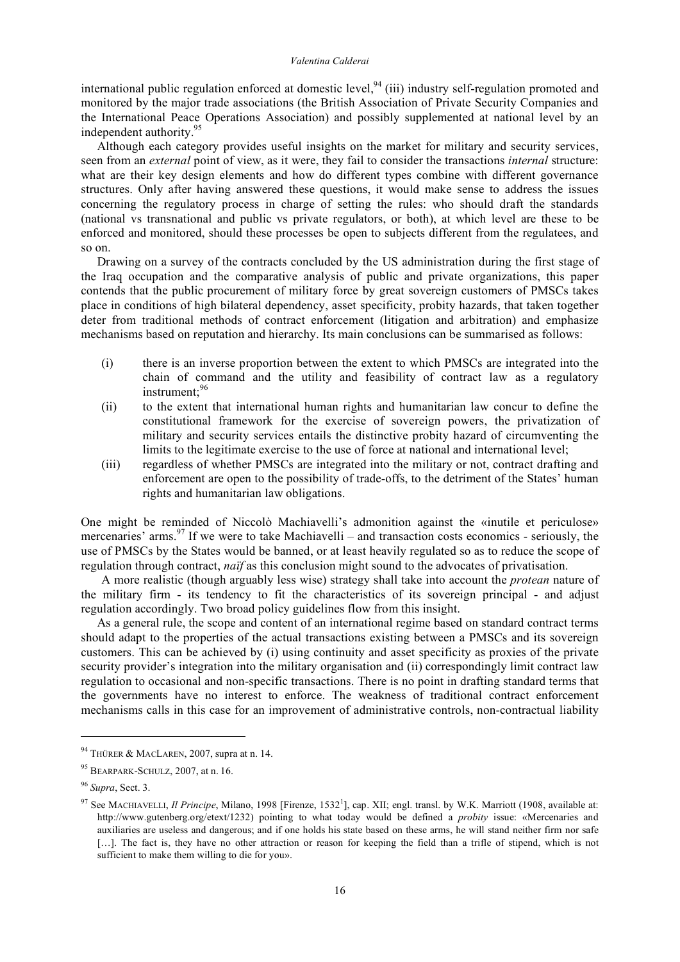international public regulation enforced at domestic level,  $94$  (iii) industry self-regulation promoted and monitored by the major trade associations (the British Association of Private Security Companies and the International Peace Operations Association) and possibly supplemented at national level by an independent authority. 95

Although each category provides useful insights on the market for military and security services, seen from an *external* point of view, as it were, they fail to consider the transactions *internal* structure: what are their key design elements and how do different types combine with different governance structures. Only after having answered these questions, it would make sense to address the issues concerning the regulatory process in charge of setting the rules: who should draft the standards (national vs transnational and public vs private regulators, or both), at which level are these to be enforced and monitored, should these processes be open to subjects different from the regulatees, and so on.

Drawing on a survey of the contracts concluded by the US administration during the first stage of the Iraq occupation and the comparative analysis of public and private organizations, this paper contends that the public procurement of military force by great sovereign customers of PMSCs takes place in conditions of high bilateral dependency, asset specificity, probity hazards, that taken together deter from traditional methods of contract enforcement (litigation and arbitration) and emphasize mechanisms based on reputation and hierarchy. Its main conclusions can be summarised as follows:

- (i) there is an inverse proportion between the extent to which PMSCs are integrated into the chain of command and the utility and feasibility of contract law as a regulatory instrument; 96
- (ii) to the extent that international human rights and humanitarian law concur to define the constitutional framework for the exercise of sovereign powers, the privatization of military and security services entails the distinctive probity hazard of circumventing the limits to the legitimate exercise to the use of force at national and international level;
- (iii) regardless of whether PMSCs are integrated into the military or not, contract drafting and enforcement are open to the possibility of trade-offs, to the detriment of the States' human rights and humanitarian law obligations.

One might be reminded of Niccolò Machiavelli's admonition against the «inutile et periculose» mercenaries' arms.<sup>97</sup> If we were to take Machiavelli – and transaction costs economics - seriously, the use of PMSCs by the States would be banned, or at least heavily regulated so as to reduce the scope of regulation through contract, *naïf* as this conclusion might sound to the advocates of privatisation.

A more realistic (though arguably less wise) strategy shall take into account the *protean* nature of the military firm - its tendency to fit the characteristics of its sovereign principal - and adjust regulation accordingly. Two broad policy guidelines flow from this insight.

As a general rule, the scope and content of an international regime based on standard contract terms should adapt to the properties of the actual transactions existing between a PMSCs and its sovereign customers. This can be achieved by (i) using continuity and asset specificity as proxies of the private security provider's integration into the military organisation and (ii) correspondingly limit contract law regulation to occasional and non-specific transactions. There is no point in drafting standard terms that the governments have no interest to enforce. The weakness of traditional contract enforcement mechanisms calls in this case for an improvement of administrative controls, non-contractual liability

<sup>&</sup>lt;sup>94</sup> THÜRER & MACLAREN, 2007, supra at n. 14.

<sup>95</sup> BEARPARK-SCHULZ, 2007, at n. 16.

<sup>96</sup> *Supra*, Sect. 3.

<sup>&</sup>lt;sup>97</sup> See MACHIAVELLI, *Il Principe*, Milano, 1998 [Firenze, 1532<sup>1</sup>], cap. XII; engl. transl. by W.K. Marriott (1908, available at: http://www.gutenberg.org/etext/1232) pointing to what today would be defined a *probity* issue: «Mercenaries and auxiliaries are useless and dangerous; and if one holds his state based on these arms, he will stand neither firm nor safe [...]. The fact is, they have no other attraction or reason for keeping the field than a trifle of stipend, which is not sufficient to make them willing to die for you».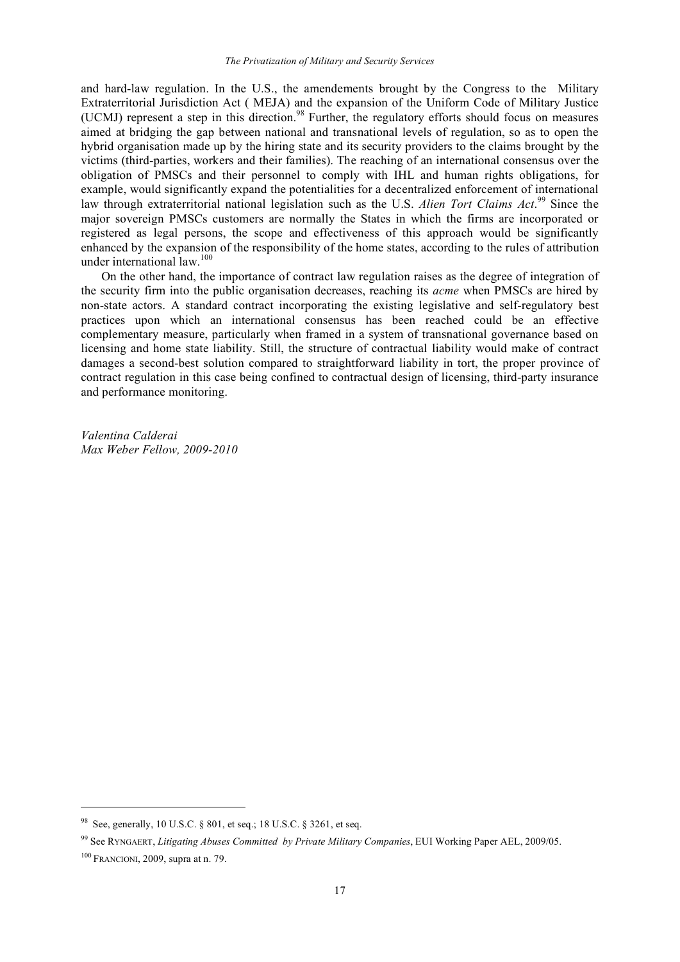and hard-law regulation. In the U.S., the amendements brought by the Congress to the Military Extraterritorial Jurisdiction Act ( MEJA) and the expansion of the Uniform Code of Military Justice (UCMJ) represent a step in this direction. <sup>98</sup> Further, the regulatory efforts should focus on measures aimed at bridging the gap between national and transnational levels of regulation, so as to open the hybrid organisation made up by the hiring state and its security providers to the claims brought by the victims (third-parties, workers and their families). The reaching of an international consensus over the obligation of PMSCs and their personnel to comply with IHL and human rights obligations, for example, would significantly expand the potentialities for a decentralized enforcement of international law through extraterritorial national legislation such as the U.S. *Alien Tort Claims Act*. <sup>99</sup> Since the major sovereign PMSCs customers are normally the States in which the firms are incorporated or registered as legal persons, the scope and effectiveness of this approach would be significantly enhanced by the expansion of the responsibility of the home states, according to the rules of attribution under international law. 100

On the other hand, the importance of contract law regulation raises as the degree of integration of the security firm into the public organisation decreases, reaching its *acme* when PMSCs are hired by non-state actors. A standard contract incorporating the existing legislative and self-regulatory best practices upon which an international consensus has been reached could be an effective complementary measure, particularly when framed in a system of transnational governance based on licensing and home state liability. Still, the structure of contractual liability would make of contract damages a second-best solution compared to straightforward liability in tort, the proper province of contract regulation in this case being confined to contractual design of licensing, third-party insurance and performance monitoring.

*Valentina Calderai Max Weber Fellow, 2009-2010*

<sup>98</sup> See, generally, 10 U.S.C. § 801, et seq.; 18 U.S.C. § 3261, et seq.

<sup>99</sup> See RYNGAERT, *Litigating Abuses Committed by Private Military Companies*, EUI Working Paper AEL, 2009/05.

<sup>100</sup> FRANCIONI, 2009, supra at n. 79.